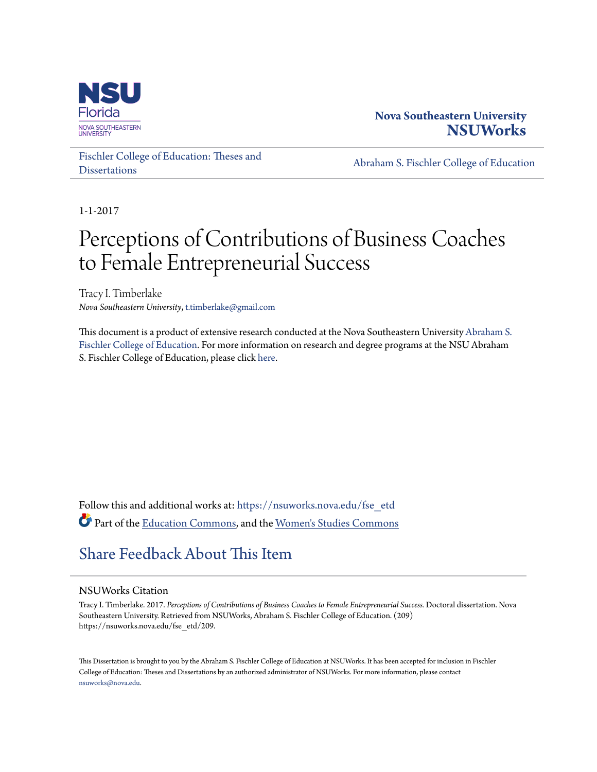

# **Nova Southeastern University [NSUWorks](https://nsuworks.nova.edu?utm_source=nsuworks.nova.edu%2Ffse_etd%2F209&utm_medium=PDF&utm_campaign=PDFCoverPages)**

[Fischler College of Education: Theses and](https://nsuworks.nova.edu/fse_etd?utm_source=nsuworks.nova.edu%2Ffse_etd%2F209&utm_medium=PDF&utm_campaign=PDFCoverPages) **[Dissertations](https://nsuworks.nova.edu/fse_etd?utm_source=nsuworks.nova.edu%2Ffse_etd%2F209&utm_medium=PDF&utm_campaign=PDFCoverPages)** 

[Abraham S. Fischler College of Education](https://nsuworks.nova.edu/fse?utm_source=nsuworks.nova.edu%2Ffse_etd%2F209&utm_medium=PDF&utm_campaign=PDFCoverPages)

1-1-2017

# Perceptions of Contributions of Business Coaches to Female Entrepreneurial Success

Tracy I. Timberlake *Nova Southeastern University*, t.timberlake@gmail.com

This document is a product of extensive research conducted at the Nova Southeastern University [Abraham S.](http://education.nova.edu/index.html) [Fischler College of Education](http://education.nova.edu/index.html). For more information on research and degree programs at the NSU Abraham S. Fischler College of Education, please click [here.](http://education.nova.edu/index.html)

Follow this and additional works at: [https://nsuworks.nova.edu/fse\\_etd](https://nsuworks.nova.edu/fse_etd?utm_source=nsuworks.nova.edu%2Ffse_etd%2F209&utm_medium=PDF&utm_campaign=PDFCoverPages) Part of the [Education Commons](http://network.bepress.com/hgg/discipline/784?utm_source=nsuworks.nova.edu%2Ffse_etd%2F209&utm_medium=PDF&utm_campaign=PDFCoverPages), and the [Women's Studies Commons](http://network.bepress.com/hgg/discipline/561?utm_source=nsuworks.nova.edu%2Ffse_etd%2F209&utm_medium=PDF&utm_campaign=PDFCoverPages)

# [Share Feedback About This Item](http://nsuworks.nova.edu/user_survey.html)

#### NSUWorks Citation

Tracy I. Timberlake. 2017. *Perceptions of Contributions of Business Coaches to Female Entrepreneurial Success.* Doctoral dissertation. Nova Southeastern University. Retrieved from NSUWorks, Abraham S. Fischler College of Education. (209) https://nsuworks.nova.edu/fse\_etd/209.

This Dissertation is brought to you by the Abraham S. Fischler College of Education at NSUWorks. It has been accepted for inclusion in Fischler College of Education: Theses and Dissertations by an authorized administrator of NSUWorks. For more information, please contact [nsuworks@nova.edu.](mailto:nsuworks@nova.edu)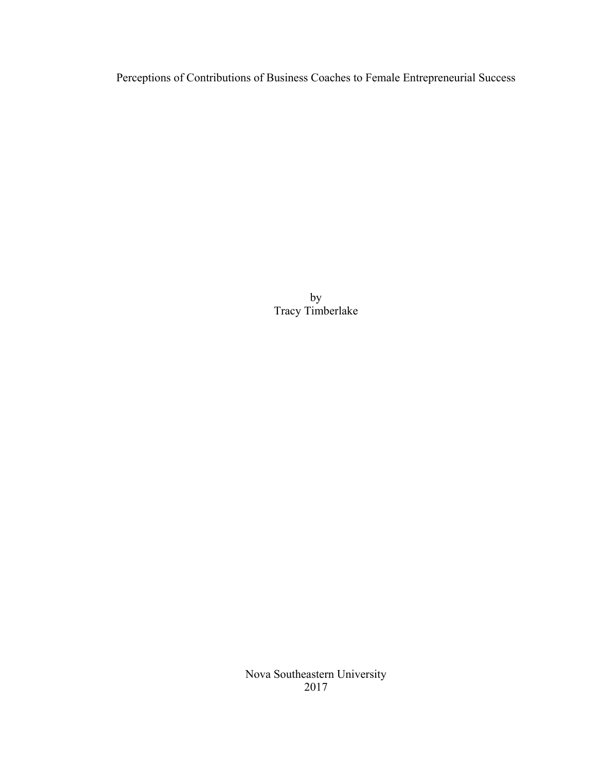Perceptions of Contributions of Business Coaches to Female Entrepreneurial Success

by Tracy Timberlake

Nova Southeastern University 2017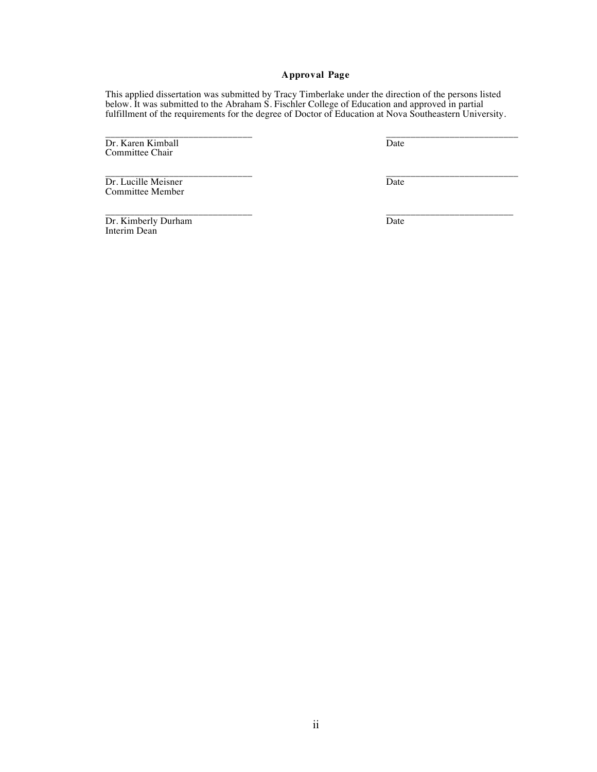#### **Approval Page**

This applied dissertation was submitted by Tracy Timberlake under the direction of the persons listed below. It was submitted to the Abraham S. Fischler College of Education and approved in partial fulfillment of the requirements for the degree of Doctor of Education at Nova Southeastern University.

Dr. Karen Kimball Date Committee Chair

\_\_\_\_\_\_\_\_\_\_\_\_\_\_\_\_\_\_\_\_\_\_\_\_\_\_\_\_\_\_ \_\_\_\_\_\_\_\_\_\_\_\_\_\_\_\_\_\_\_\_\_\_\_\_\_\_\_

\_\_\_\_\_\_\_\_\_\_\_\_\_\_\_\_\_\_\_\_\_\_\_\_\_\_\_\_\_\_ \_\_\_\_\_\_\_\_\_\_\_\_\_\_\_\_\_\_\_\_\_\_\_\_\_\_\_ Dr. Lucille Meisner Date Committee Member

\_\_\_\_\_\_\_\_\_\_\_\_\_\_\_\_\_\_\_\_\_\_\_\_\_\_\_\_\_\_ \_\_\_\_\_\_\_\_\_\_\_\_\_\_\_\_\_\_\_\_\_\_\_\_\_\_ Dr. Kimberly Durham Date Interim Dean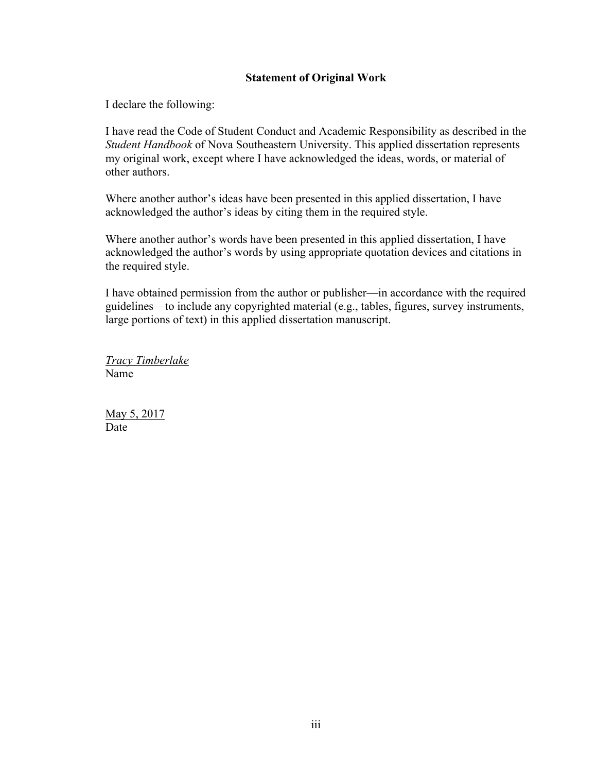### **Statement of Original Work**

I declare the following:

I have read the Code of Student Conduct and Academic Responsibility as described in the *Student Handbook* of Nova Southeastern University. This applied dissertation represents my original work, except where I have acknowledged the ideas, words, or material of other authors.

Where another author's ideas have been presented in this applied dissertation, I have acknowledged the author's ideas by citing them in the required style.

Where another author's words have been presented in this applied dissertation, I have acknowledged the author's words by using appropriate quotation devices and citations in the required style.

I have obtained permission from the author or publisher—in accordance with the required guidelines—to include any copyrighted material (e.g., tables, figures, survey instruments, large portions of text) in this applied dissertation manuscript.

*Tracy Timberlake* Name

May 5, 2017 **Date**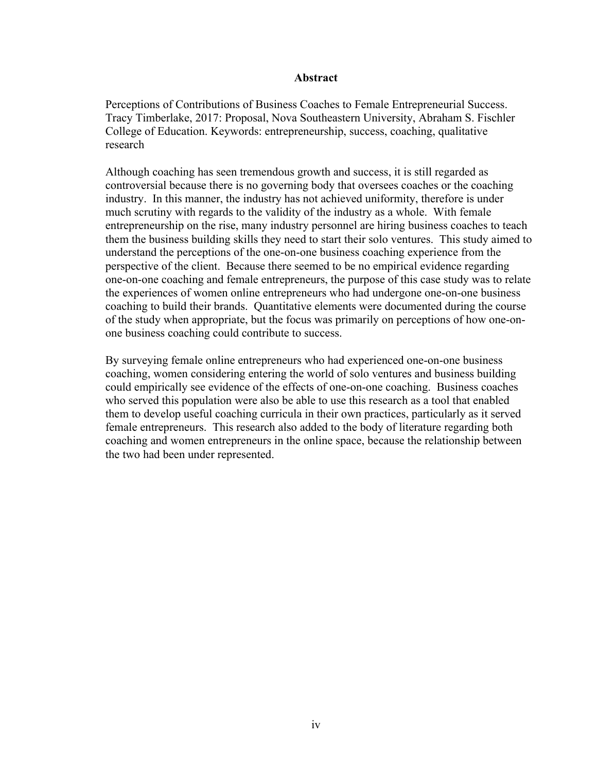#### **Abstract**

Perceptions of Contributions of Business Coaches to Female Entrepreneurial Success. Tracy Timberlake, 2017: Proposal, Nova Southeastern University, Abraham S. Fischler College of Education. Keywords: entrepreneurship, success, coaching, qualitative research

Although coaching has seen tremendous growth and success, it is still regarded as controversial because there is no governing body that oversees coaches or the coaching industry. In this manner, the industry has not achieved uniformity, therefore is under much scrutiny with regards to the validity of the industry as a whole. With female entrepreneurship on the rise, many industry personnel are hiring business coaches to teach them the business building skills they need to start their solo ventures. This study aimed to understand the perceptions of the one-on-one business coaching experience from the perspective of the client. Because there seemed to be no empirical evidence regarding one-on-one coaching and female entrepreneurs, the purpose of this case study was to relate the experiences of women online entrepreneurs who had undergone one-on-one business coaching to build their brands. Quantitative elements were documented during the course of the study when appropriate, but the focus was primarily on perceptions of how one-onone business coaching could contribute to success.

By surveying female online entrepreneurs who had experienced one-on-one business coaching, women considering entering the world of solo ventures and business building could empirically see evidence of the effects of one-on-one coaching. Business coaches who served this population were also be able to use this research as a tool that enabled them to develop useful coaching curricula in their own practices, particularly as it served female entrepreneurs. This research also added to the body of literature regarding both coaching and women entrepreneurs in the online space, because the relationship between the two had been under represented.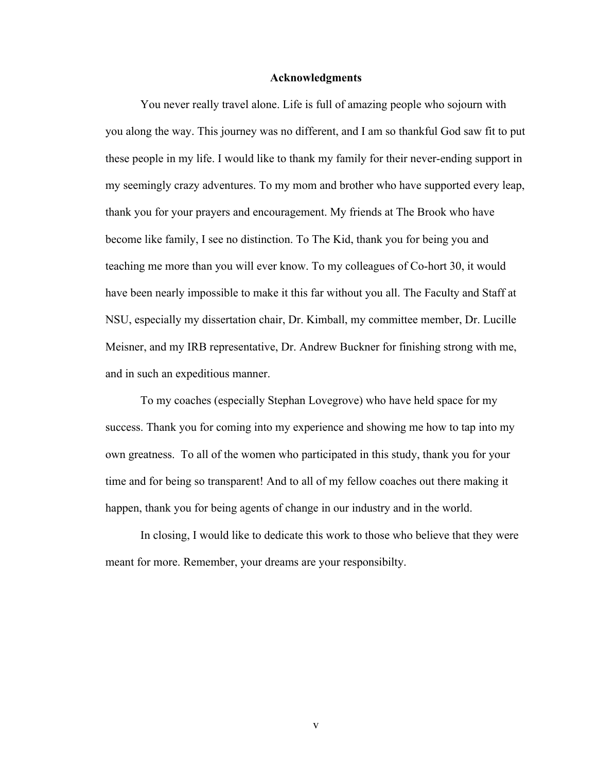#### **Acknowledgments**

You never really travel alone. Life is full of amazing people who sojourn with you along the way. This journey was no different, and I am so thankful God saw fit to put these people in my life. I would like to thank my family for their never-ending support in my seemingly crazy adventures. To my mom and brother who have supported every leap, thank you for your prayers and encouragement. My friends at The Brook who have become like family, I see no distinction. To The Kid, thank you for being you and teaching me more than you will ever know. To my colleagues of Co-hort 30, it would have been nearly impossible to make it this far without you all. The Faculty and Staff at NSU, especially my dissertation chair, Dr. Kimball, my committee member, Dr. Lucille Meisner, and my IRB representative, Dr. Andrew Buckner for finishing strong with me, and in such an expeditious manner.

To my coaches (especially Stephan Lovegrove) who have held space for my success. Thank you for coming into my experience and showing me how to tap into my own greatness. To all of the women who participated in this study, thank you for your time and for being so transparent! And to all of my fellow coaches out there making it happen, thank you for being agents of change in our industry and in the world.

In closing, I would like to dedicate this work to those who believe that they were meant for more. Remember, your dreams are your responsibilty.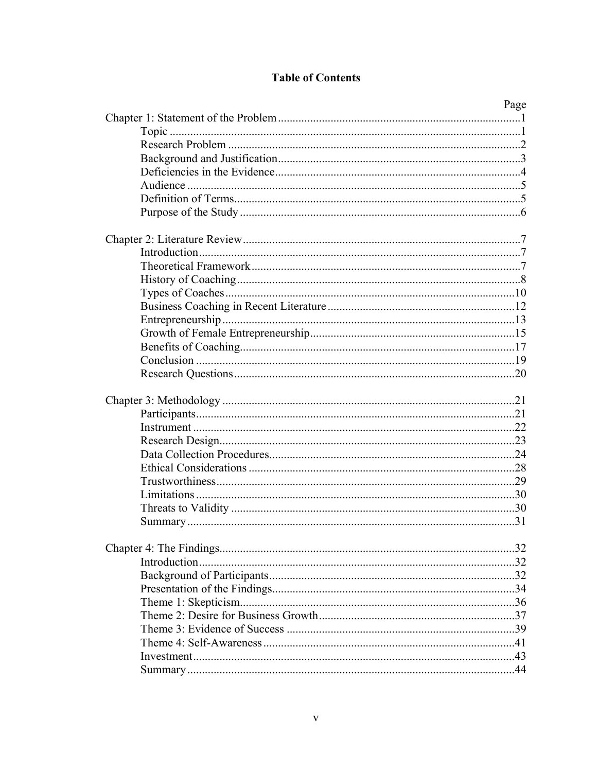## **Table of Contents**

| Page |
|------|
|      |
|      |
|      |
|      |
|      |
|      |
|      |
|      |
|      |
|      |
|      |
|      |
|      |
|      |
|      |
|      |
|      |
|      |
|      |
|      |
|      |
|      |
|      |
|      |
|      |
|      |
|      |
|      |
|      |
|      |
|      |
|      |
|      |
|      |
|      |
|      |
|      |
|      |
|      |
|      |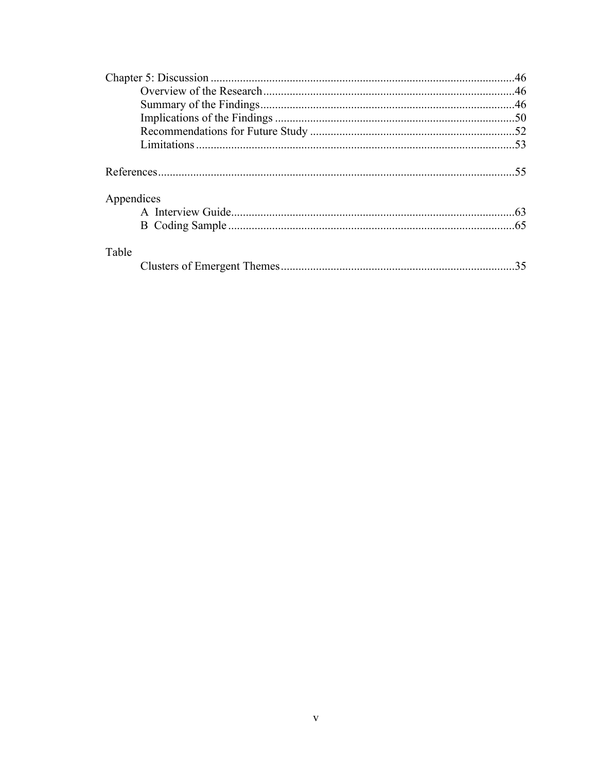| Appendices |    |
|------------|----|
|            |    |
|            |    |
| Table      |    |
|            | 35 |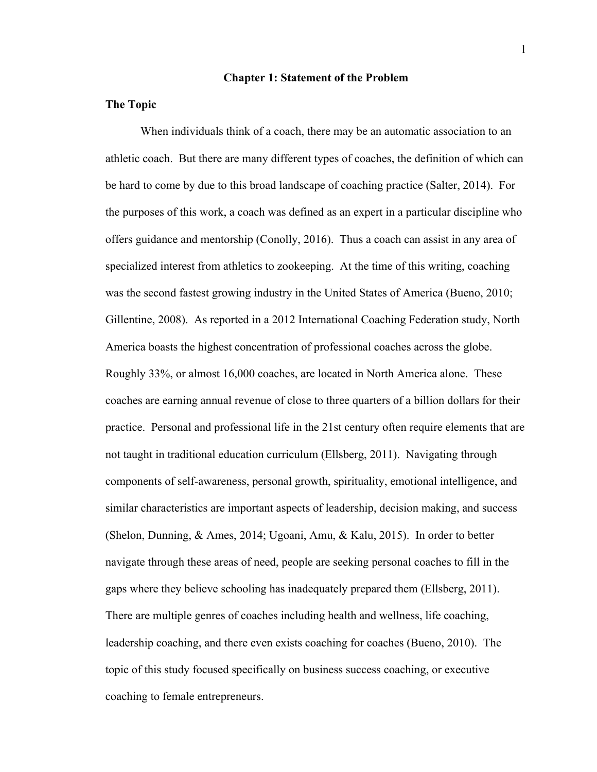#### **Chapter 1: Statement of the Problem**

#### **The Topic**

 When individuals think of a coach, there may be an automatic association to an athletic coach. But there are many different types of coaches, the definition of which can be hard to come by due to this broad landscape of coaching practice (Salter, 2014). For the purposes of this work, a coach was defined as an expert in a particular discipline who offers guidance and mentorship (Conolly, 2016). Thus a coach can assist in any area of specialized interest from athletics to zookeeping. At the time of this writing, coaching was the second fastest growing industry in the United States of America (Bueno, 2010; Gillentine, 2008). As reported in a 2012 International Coaching Federation study, North America boasts the highest concentration of professional coaches across the globe. Roughly 33%, or almost 16,000 coaches, are located in North America alone. These coaches are earning annual revenue of close to three quarters of a billion dollars for their practice. Personal and professional life in the 21st century often require elements that are not taught in traditional education curriculum (Ellsberg, 2011). Navigating through components of self-awareness, personal growth, spirituality, emotional intelligence, and similar characteristics are important aspects of leadership, decision making, and success (Shelon, Dunning, & Ames, 2014; Ugoani, Amu, & Kalu, 2015). In order to better navigate through these areas of need, people are seeking personal coaches to fill in the gaps where they believe schooling has inadequately prepared them (Ellsberg, 2011). There are multiple genres of coaches including health and wellness, life coaching, leadership coaching, and there even exists coaching for coaches (Bueno, 2010). The topic of this study focused specifically on business success coaching, or executive coaching to female entrepreneurs.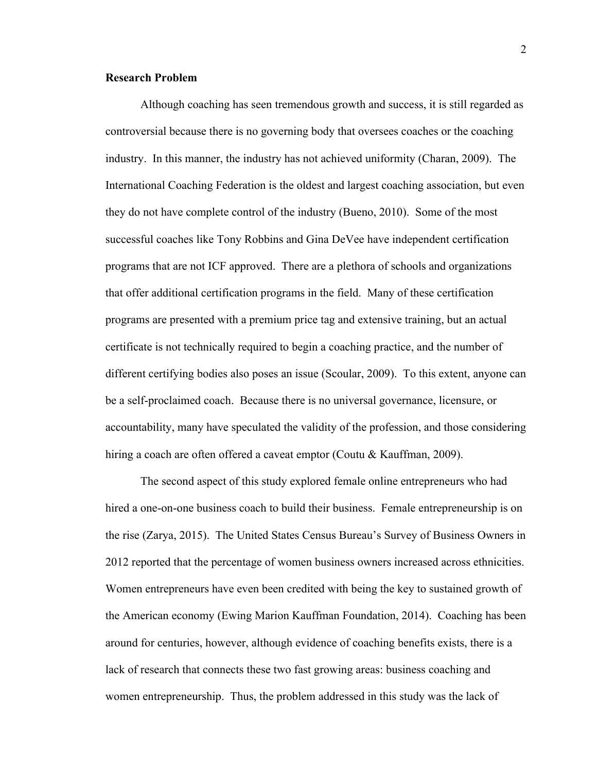#### **Research Problem**

Although coaching has seen tremendous growth and success, it is still regarded as controversial because there is no governing body that oversees coaches or the coaching industry. In this manner, the industry has not achieved uniformity (Charan, 2009). The International Coaching Federation is the oldest and largest coaching association, but even they do not have complete control of the industry (Bueno, 2010). Some of the most successful coaches like Tony Robbins and Gina DeVee have independent certification programs that are not ICF approved. There are a plethora of schools and organizations that offer additional certification programs in the field. Many of these certification programs are presented with a premium price tag and extensive training, but an actual certificate is not technically required to begin a coaching practice, and the number of different certifying bodies also poses an issue (Scoular, 2009). To this extent, anyone can be a self-proclaimed coach. Because there is no universal governance, licensure, or accountability, many have speculated the validity of the profession, and those considering hiring a coach are often offered a caveat emptor (Coutu & Kauffman, 2009).

The second aspect of this study explored female online entrepreneurs who had hired a one-on-one business coach to build their business. Female entrepreneurship is on the rise (Zarya, 2015). The United States Census Bureau's Survey of Business Owners in 2012 reported that the percentage of women business owners increased across ethnicities. Women entrepreneurs have even been credited with being the key to sustained growth of the American economy (Ewing Marion Kauffman Foundation, 2014). Coaching has been around for centuries, however, although evidence of coaching benefits exists, there is a lack of research that connects these two fast growing areas: business coaching and women entrepreneurship. Thus, the problem addressed in this study was the lack of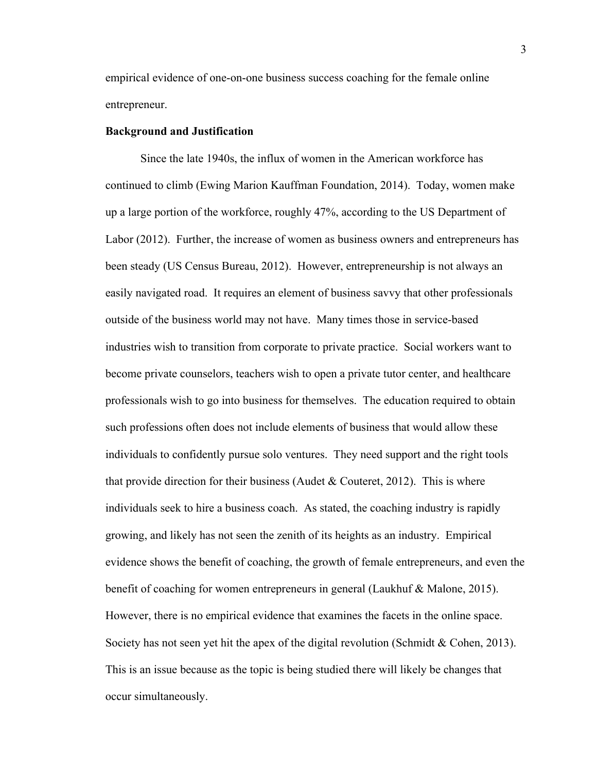empirical evidence of one-on-one business success coaching for the female online entrepreneur.

#### **Background and Justification**

Since the late 1940s, the influx of women in the American workforce has continued to climb (Ewing Marion Kauffman Foundation, 2014). Today, women make up a large portion of the workforce, roughly 47%, according to the US Department of Labor (2012). Further, the increase of women as business owners and entrepreneurs has been steady (US Census Bureau, 2012). However, entrepreneurship is not always an easily navigated road. It requires an element of business savvy that other professionals outside of the business world may not have. Many times those in service-based industries wish to transition from corporate to private practice. Social workers want to become private counselors, teachers wish to open a private tutor center, and healthcare professionals wish to go into business for themselves. The education required to obtain such professions often does not include elements of business that would allow these individuals to confidently pursue solo ventures. They need support and the right tools that provide direction for their business (Audet & Couteret, 2012). This is where individuals seek to hire a business coach. As stated, the coaching industry is rapidly growing, and likely has not seen the zenith of its heights as an industry. Empirical evidence shows the benefit of coaching, the growth of female entrepreneurs, and even the benefit of coaching for women entrepreneurs in general (Laukhuf & Malone, 2015). However, there is no empirical evidence that examines the facets in the online space. Society has not seen yet hit the apex of the digital revolution (Schmidt & Cohen, 2013). This is an issue because as the topic is being studied there will likely be changes that occur simultaneously.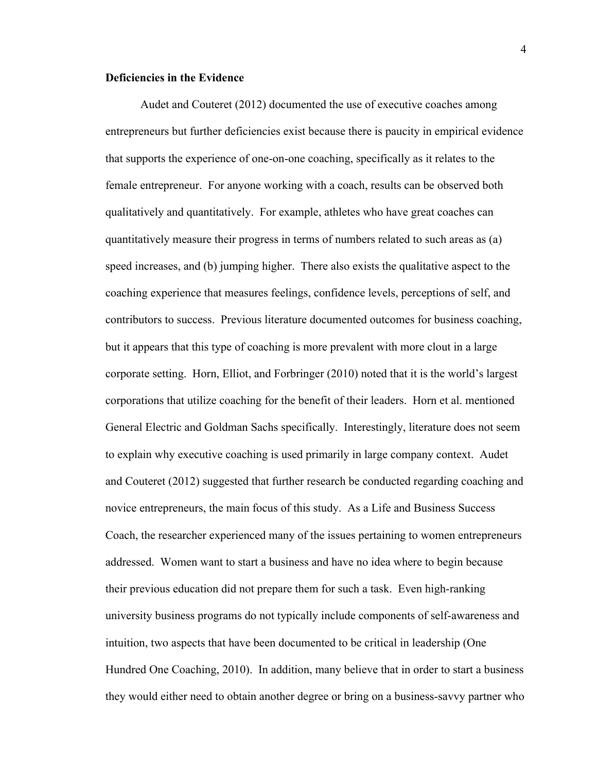#### **Deficiencies in the Evidence**

Audet and Couteret (2012) documented the use of executive coaches among entrepreneurs but further deficiencies exist because there is paucity in empirical evidence that supports the experience of one-on-one coaching, specifically as it relates to the female entrepreneur. For anyone working with a coach, results can be observed both qualitatively and quantitatively. For example, athletes who have great coaches can quantitatively measure their progress in terms of numbers related to such areas as (a) speed increases, and (b) jumping higher. There also exists the qualitative aspect to the coaching experience that measures feelings, confidence levels, perceptions of self, and contributors to success. Previous literature documented outcomes for business coaching, but it appears that this type of coaching is more prevalent with more clout in a large corporate setting. Horn, Elliot, and Forbringer (2010) noted that it is the world's largest corporations that utilize coaching for the benefit of their leaders. Horn et al. mentioned General Electric and Goldman Sachs specifically. Interestingly, literature does not seem to explain why executive coaching is used primarily in large company context. Audet and Couteret (2012) suggested that further research be conducted regarding coaching and novice entrepreneurs, the main focus of this study. As a Life and Business Success Coach, the researcher experienced many of the issues pertaining to women entrepreneurs addressed. Women want to start a business and have no idea where to begin because their previous education did not prepare them for such a task. Even high-ranking university business programs do not typically include components of self-awareness and intuition, two aspects that have been documented to be critical in leadership (One Hundred One Coaching, 2010). In addition, many believe that in order to start a business they would either need to obtain another degree or bring on a business-savvy partner who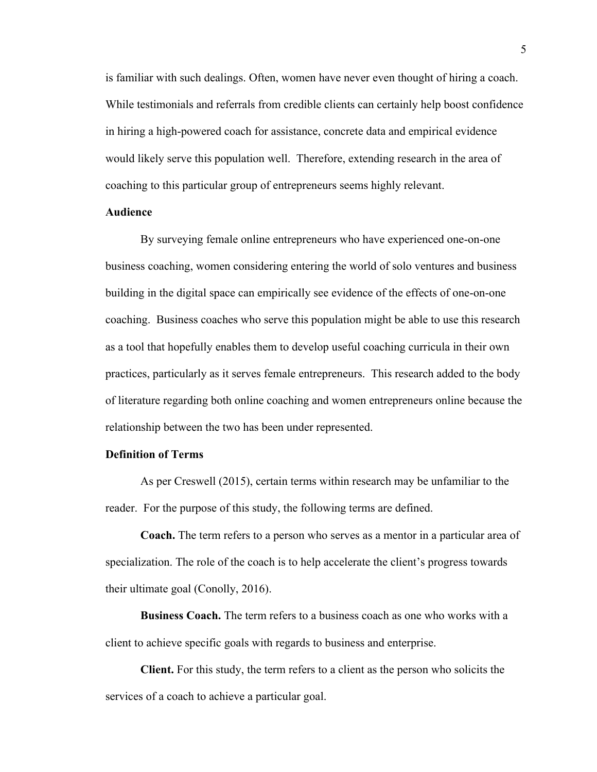is familiar with such dealings. Often, women have never even thought of hiring a coach. While testimonials and referrals from credible clients can certainly help boost confidence in hiring a high-powered coach for assistance, concrete data and empirical evidence would likely serve this population well. Therefore, extending research in the area of coaching to this particular group of entrepreneurs seems highly relevant.

#### **Audience**

By surveying female online entrepreneurs who have experienced one-on-one business coaching, women considering entering the world of solo ventures and business building in the digital space can empirically see evidence of the effects of one-on-one coaching. Business coaches who serve this population might be able to use this research as a tool that hopefully enables them to develop useful coaching curricula in their own practices, particularly as it serves female entrepreneurs. This research added to the body of literature regarding both online coaching and women entrepreneurs online because the relationship between the two has been under represented.

#### **Definition of Terms**

As per Creswell (2015), certain terms within research may be unfamiliar to the reader. For the purpose of this study, the following terms are defined.

**Coach.** The term refers to a person who serves as a mentor in a particular area of specialization. The role of the coach is to help accelerate the client's progress towards their ultimate goal (Conolly, 2016).

**Business Coach.** The term refers to a business coach as one who works with a client to achieve specific goals with regards to business and enterprise.

**Client.** For this study, the term refers to a client as the person who solicits the services of a coach to achieve a particular goal.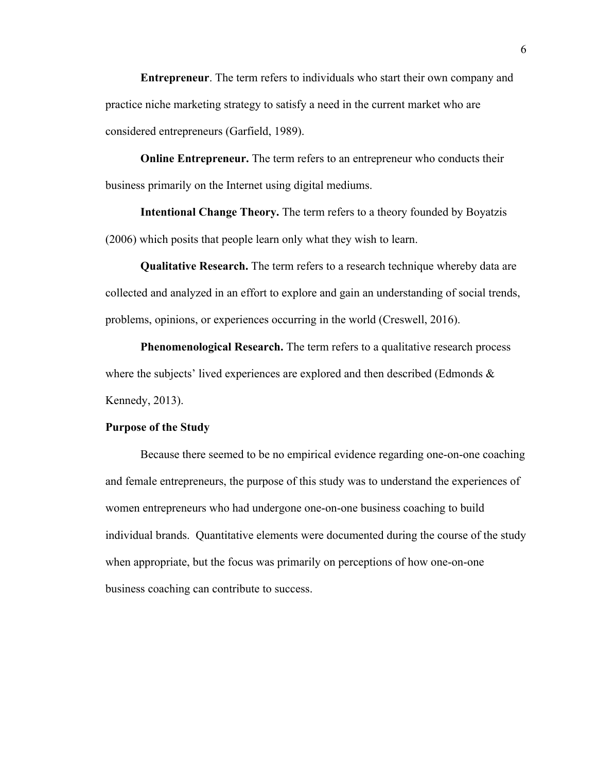**Entrepreneur**. The term refers to individuals who start their own company and practice niche marketing strategy to satisfy a need in the current market who are considered entrepreneurs (Garfield, 1989).

**Online Entrepreneur.** The term refers to an entrepreneur who conducts their business primarily on the Internet using digital mediums.

**Intentional Change Theory.** The term refers to a theory founded by Boyatzis (2006) which posits that people learn only what they wish to learn.

**Qualitative Research.** The term refers to a research technique whereby data are collected and analyzed in an effort to explore and gain an understanding of social trends, problems, opinions, or experiences occurring in the world (Creswell, 2016).

**Phenomenological Research.** The term refers to a qualitative research process where the subjects' lived experiences are explored and then described (Edmonds  $\&$ Kennedy, 2013).

#### **Purpose of the Study**

Because there seemed to be no empirical evidence regarding one-on-one coaching and female entrepreneurs, the purpose of this study was to understand the experiences of women entrepreneurs who had undergone one-on-one business coaching to build individual brands. Quantitative elements were documented during the course of the study when appropriate, but the focus was primarily on perceptions of how one-on-one business coaching can contribute to success.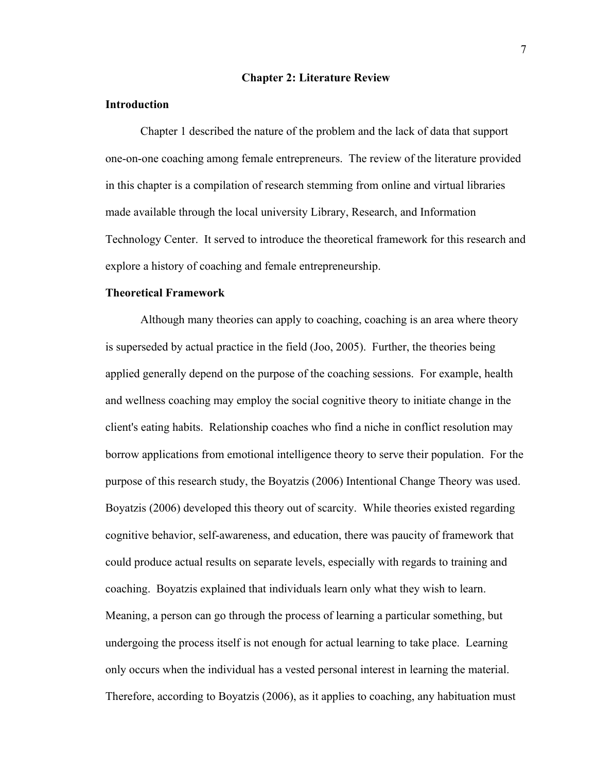#### **Chapter 2: Literature Review**

#### **Introduction**

Chapter 1 described the nature of the problem and the lack of data that support one-on-one coaching among female entrepreneurs. The review of the literature provided in this chapter is a compilation of research stemming from online and virtual libraries made available through the local university Library, Research, and Information Technology Center. It served to introduce the theoretical framework for this research and explore a history of coaching and female entrepreneurship.

#### **Theoretical Framework**

Although many theories can apply to coaching, coaching is an area where theory is superseded by actual practice in the field (Joo, 2005). Further, the theories being applied generally depend on the purpose of the coaching sessions. For example, health and wellness coaching may employ the social cognitive theory to initiate change in the client's eating habits. Relationship coaches who find a niche in conflict resolution may borrow applications from emotional intelligence theory to serve their population. For the purpose of this research study, the Boyatzis (2006) Intentional Change Theory was used. Boyatzis (2006) developed this theory out of scarcity. While theories existed regarding cognitive behavior, self-awareness, and education, there was paucity of framework that could produce actual results on separate levels, especially with regards to training and coaching. Boyatzis explained that individuals learn only what they wish to learn. Meaning, a person can go through the process of learning a particular something, but undergoing the process itself is not enough for actual learning to take place. Learning only occurs when the individual has a vested personal interest in learning the material. Therefore, according to Boyatzis (2006), as it applies to coaching, any habituation must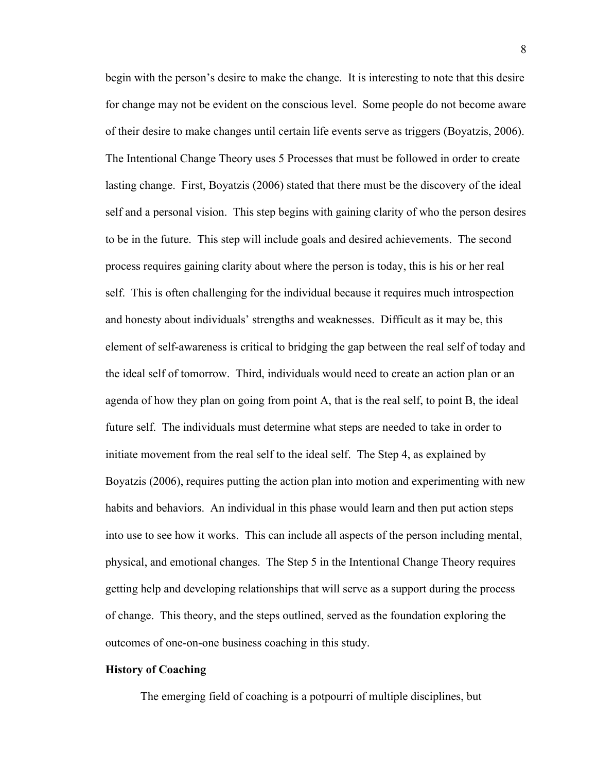begin with the person's desire to make the change. It is interesting to note that this desire for change may not be evident on the conscious level. Some people do not become aware of their desire to make changes until certain life events serve as triggers (Boyatzis, 2006). The Intentional Change Theory uses 5 Processes that must be followed in order to create lasting change. First, Boyatzis (2006) stated that there must be the discovery of the ideal self and a personal vision. This step begins with gaining clarity of who the person desires to be in the future. This step will include goals and desired achievements. The second process requires gaining clarity about where the person is today, this is his or her real self. This is often challenging for the individual because it requires much introspection and honesty about individuals' strengths and weaknesses. Difficult as it may be, this element of self-awareness is critical to bridging the gap between the real self of today and the ideal self of tomorrow. Third, individuals would need to create an action plan or an agenda of how they plan on going from point A, that is the real self, to point B, the ideal future self. The individuals must determine what steps are needed to take in order to initiate movement from the real self to the ideal self. The Step 4, as explained by Boyatzis (2006), requires putting the action plan into motion and experimenting with new habits and behaviors. An individual in this phase would learn and then put action steps into use to see how it works. This can include all aspects of the person including mental, physical, and emotional changes. The Step 5 in the Intentional Change Theory requires getting help and developing relationships that will serve as a support during the process of change. This theory, and the steps outlined, served as the foundation exploring the outcomes of one-on-one business coaching in this study.

#### **History of Coaching**

The emerging field of coaching is a potpourri of multiple disciplines, but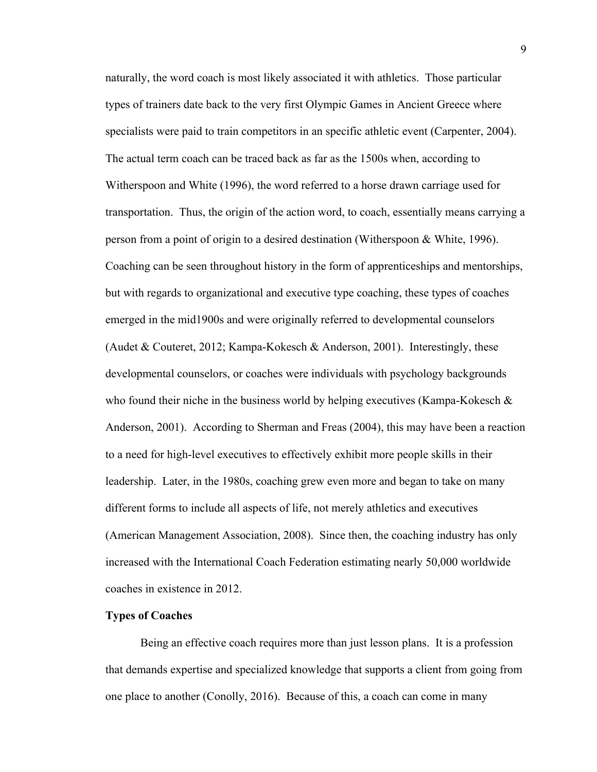naturally, the word coach is most likely associated it with athletics. Those particular types of trainers date back to the very first Olympic Games in Ancient Greece where specialists were paid to train competitors in an specific athletic event (Carpenter, 2004). The actual term coach can be traced back as far as the 1500s when, according to Witherspoon and White (1996), the word referred to a horse drawn carriage used for transportation. Thus, the origin of the action word, to coach, essentially means carrying a person from a point of origin to a desired destination (Witherspoon & White, 1996). Coaching can be seen throughout history in the form of apprenticeships and mentorships, but with regards to organizational and executive type coaching, these types of coaches emerged in the mid1900s and were originally referred to developmental counselors (Audet & Couteret, 2012; Kampa-Kokesch & Anderson, 2001). Interestingly, these developmental counselors, or coaches were individuals with psychology backgrounds who found their niche in the business world by helping executives (Kampa-Kokesch & Anderson, 2001). According to Sherman and Freas (2004), this may have been a reaction to a need for high-level executives to effectively exhibit more people skills in their leadership. Later, in the 1980s, coaching grew even more and began to take on many different forms to include all aspects of life, not merely athletics and executives (American Management Association, 2008). Since then, the coaching industry has only increased with the International Coach Federation estimating nearly 50,000 worldwide coaches in existence in 2012.

#### **Types of Coaches**

Being an effective coach requires more than just lesson plans. It is a profession that demands expertise and specialized knowledge that supports a client from going from one place to another (Conolly, 2016). Because of this, a coach can come in many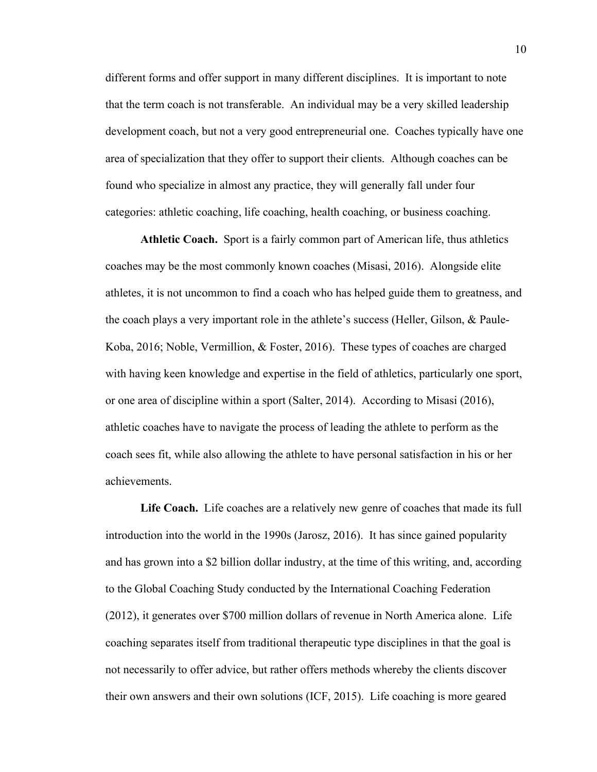different forms and offer support in many different disciplines. It is important to note that the term coach is not transferable. An individual may be a very skilled leadership development coach, but not a very good entrepreneurial one. Coaches typically have one area of specialization that they offer to support their clients. Although coaches can be found who specialize in almost any practice, they will generally fall under four categories: athletic coaching, life coaching, health coaching, or business coaching.

**Athletic Coach.** Sport is a fairly common part of American life, thus athletics coaches may be the most commonly known coaches (Misasi, 2016). Alongside elite athletes, it is not uncommon to find a coach who has helped guide them to greatness, and the coach plays a very important role in the athlete's success (Heller, Gilson, & Paule-Koba, 2016; Noble, Vermillion, & Foster, 2016). These types of coaches are charged with having keen knowledge and expertise in the field of athletics, particularly one sport, or one area of discipline within a sport (Salter, 2014). According to Misasi (2016), athletic coaches have to navigate the process of leading the athlete to perform as the coach sees fit, while also allowing the athlete to have personal satisfaction in his or her achievements.

Life Coach. Life coaches are a relatively new genre of coaches that made its full introduction into the world in the 1990s (Jarosz, 2016). It has since gained popularity and has grown into a \$2 billion dollar industry, at the time of this writing, and, according to the Global Coaching Study conducted by the International Coaching Federation (2012), it generates over \$700 million dollars of revenue in North America alone. Life coaching separates itself from traditional therapeutic type disciplines in that the goal is not necessarily to offer advice, but rather offers methods whereby the clients discover their own answers and their own solutions (ICF, 2015). Life coaching is more geared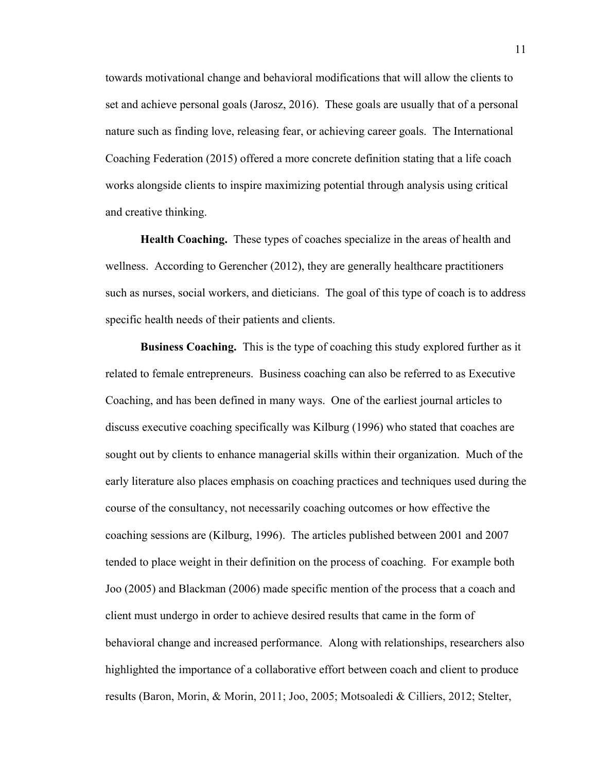towards motivational change and behavioral modifications that will allow the clients to set and achieve personal goals (Jarosz, 2016). These goals are usually that of a personal nature such as finding love, releasing fear, or achieving career goals. The International Coaching Federation (2015) offered a more concrete definition stating that a life coach works alongside clients to inspire maximizing potential through analysis using critical and creative thinking.

**Health Coaching.** These types of coaches specialize in the areas of health and wellness. According to Gerencher (2012), they are generally healthcare practitioners such as nurses, social workers, and dieticians. The goal of this type of coach is to address specific health needs of their patients and clients.

**Business Coaching.** This is the type of coaching this study explored further as it related to female entrepreneurs. Business coaching can also be referred to as Executive Coaching, and has been defined in many ways. One of the earliest journal articles to discuss executive coaching specifically was Kilburg (1996) who stated that coaches are sought out by clients to enhance managerial skills within their organization. Much of the early literature also places emphasis on coaching practices and techniques used during the course of the consultancy, not necessarily coaching outcomes or how effective the coaching sessions are (Kilburg, 1996). The articles published between 2001 and 2007 tended to place weight in their definition on the process of coaching. For example both Joo (2005) and Blackman (2006) made specific mention of the process that a coach and client must undergo in order to achieve desired results that came in the form of behavioral change and increased performance. Along with relationships, researchers also highlighted the importance of a collaborative effort between coach and client to produce results (Baron, Morin, & Morin, 2011; Joo, 2005; Motsoaledi & Cilliers, 2012; Stelter,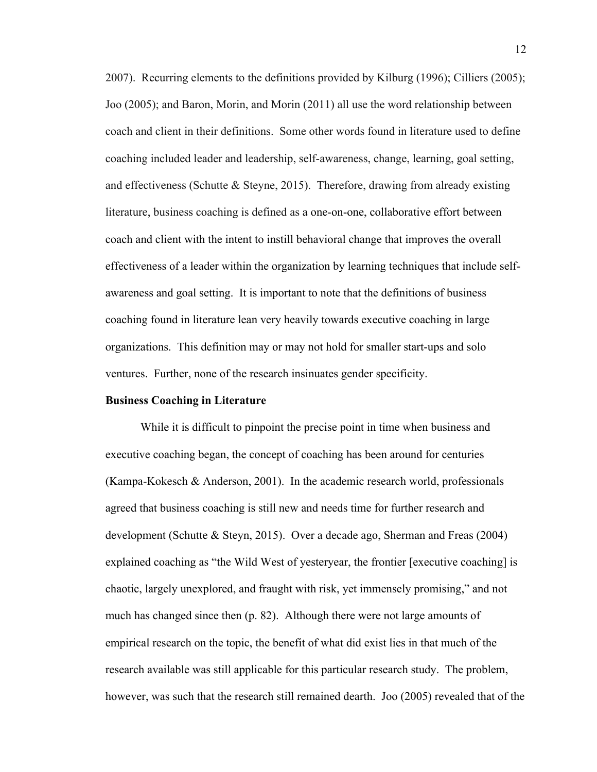2007). Recurring elements to the definitions provided by Kilburg (1996); Cilliers (2005); Joo (2005); and Baron, Morin, and Morin (2011) all use the word relationship between coach and client in their definitions. Some other words found in literature used to define coaching included leader and leadership, self-awareness, change, learning, goal setting, and effectiveness (Schutte  $\&$  Steyne, 2015). Therefore, drawing from already existing literature, business coaching is defined as a one-on-one, collaborative effort between coach and client with the intent to instill behavioral change that improves the overall effectiveness of a leader within the organization by learning techniques that include selfawareness and goal setting. It is important to note that the definitions of business coaching found in literature lean very heavily towards executive coaching in large organizations. This definition may or may not hold for smaller start-ups and solo ventures. Further, none of the research insinuates gender specificity.

#### **Business Coaching in Literature**

While it is difficult to pinpoint the precise point in time when business and executive coaching began, the concept of coaching has been around for centuries (Kampa-Kokesch & Anderson, 2001). In the academic research world, professionals agreed that business coaching is still new and needs time for further research and development (Schutte & Steyn, 2015). Over a decade ago, Sherman and Freas (2004) explained coaching as "the Wild West of yesteryear, the frontier [executive coaching] is chaotic, largely unexplored, and fraught with risk, yet immensely promising," and not much has changed since then (p. 82). Although there were not large amounts of empirical research on the topic, the benefit of what did exist lies in that much of the research available was still applicable for this particular research study. The problem, however, was such that the research still remained dearth. Joo (2005) revealed that of the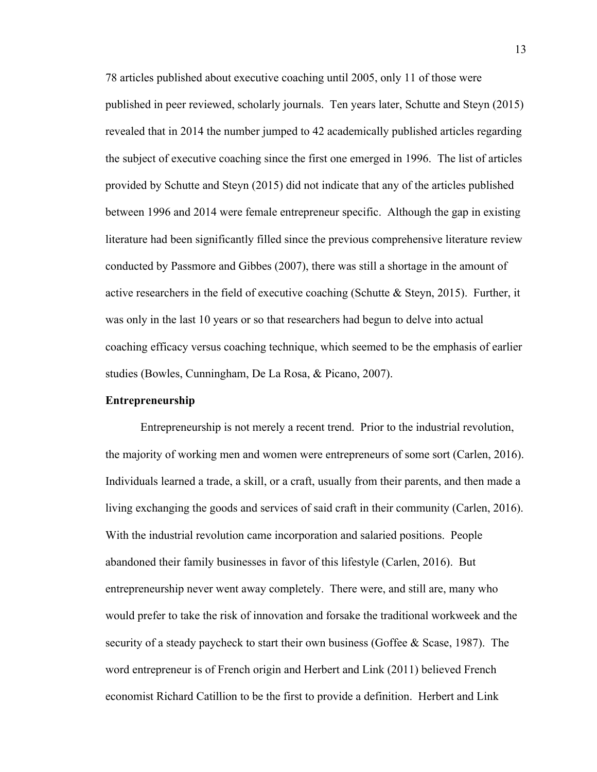78 articles published about executive coaching until 2005, only 11 of those were published in peer reviewed, scholarly journals. Ten years later, Schutte and Steyn (2015) revealed that in 2014 the number jumped to 42 academically published articles regarding the subject of executive coaching since the first one emerged in 1996. The list of articles provided by Schutte and Steyn (2015) did not indicate that any of the articles published between 1996 and 2014 were female entrepreneur specific. Although the gap in existing literature had been significantly filled since the previous comprehensive literature review conducted by Passmore and Gibbes (2007), there was still a shortage in the amount of active researchers in the field of executive coaching (Schutte & Steyn, 2015). Further, it was only in the last 10 years or so that researchers had begun to delve into actual coaching efficacy versus coaching technique, which seemed to be the emphasis of earlier studies (Bowles, Cunningham, De La Rosa, & Picano, 2007).

#### **Entrepreneurship**

Entrepreneurship is not merely a recent trend. Prior to the industrial revolution, the majority of working men and women were entrepreneurs of some sort (Carlen, 2016). Individuals learned a trade, a skill, or a craft, usually from their parents, and then made a living exchanging the goods and services of said craft in their community (Carlen, 2016). With the industrial revolution came incorporation and salaried positions. People abandoned their family businesses in favor of this lifestyle (Carlen, 2016). But entrepreneurship never went away completely. There were, and still are, many who would prefer to take the risk of innovation and forsake the traditional workweek and the security of a steady paycheck to start their own business (Goffee & Scase, 1987). The word entrepreneur is of French origin and Herbert and Link (2011) believed French economist Richard Catillion to be the first to provide a definition. Herbert and Link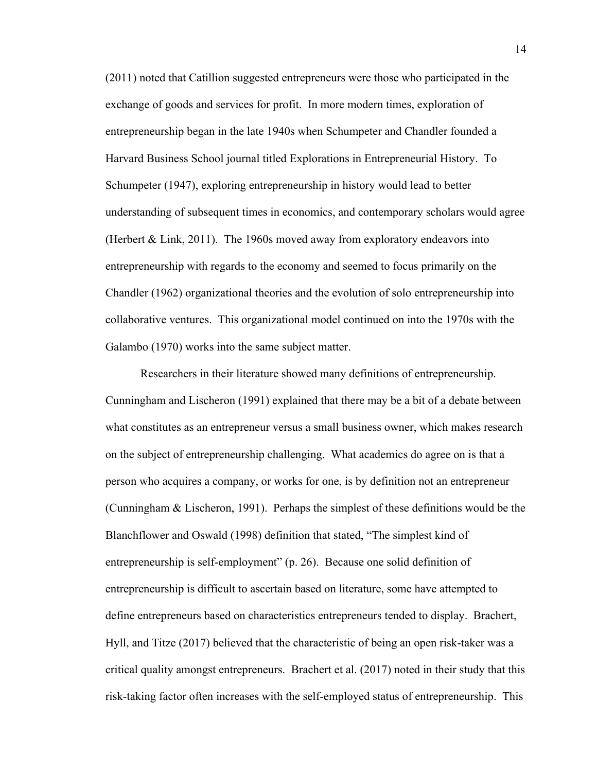(2011) noted that Catillion suggested entrepreneurs were those who participated in the exchange of goods and services for profit. In more modern times, exploration of entrepreneurship began in the late 1940s when Schumpeter and Chandler founded a Harvard Business School journal titled Explorations in Entrepreneurial History. To Schumpeter (1947), exploring entrepreneurship in history would lead to better understanding of subsequent times in economics, and contemporary scholars would agree (Herbert & Link, 2011). The 1960s moved away from exploratory endeavors into entrepreneurship with regards to the economy and seemed to focus primarily on the Chandler (1962) organizational theories and the evolution of solo entrepreneurship into collaborative ventures. This organizational model continued on into the 1970s with the Galambo (1970) works into the same subject matter.

Researchers in their literature showed many definitions of entrepreneurship. Cunningham and Lischeron (1991) explained that there may be a bit of a debate between what constitutes as an entrepreneur versus a small business owner, which makes research on the subject of entrepreneurship challenging. What academics do agree on is that a person who acquires a company, or works for one, is by definition not an entrepreneur (Cunningham & Lischeron, 1991). Perhaps the simplest of these definitions would be the Blanchflower and Oswald (1998) definition that stated, "The simplest kind of entrepreneurship is self-employment" (p. 26). Because one solid definition of entrepreneurship is difficult to ascertain based on literature, some have attempted to define entrepreneurs based on characteristics entrepreneurs tended to display. Brachert, Hyll, and Titze (2017) believed that the characteristic of being an open risk-taker was a critical quality amongst entrepreneurs. Brachert et al. (2017) noted in their study that this risk-taking factor often increases with the self-employed status of entrepreneurship. This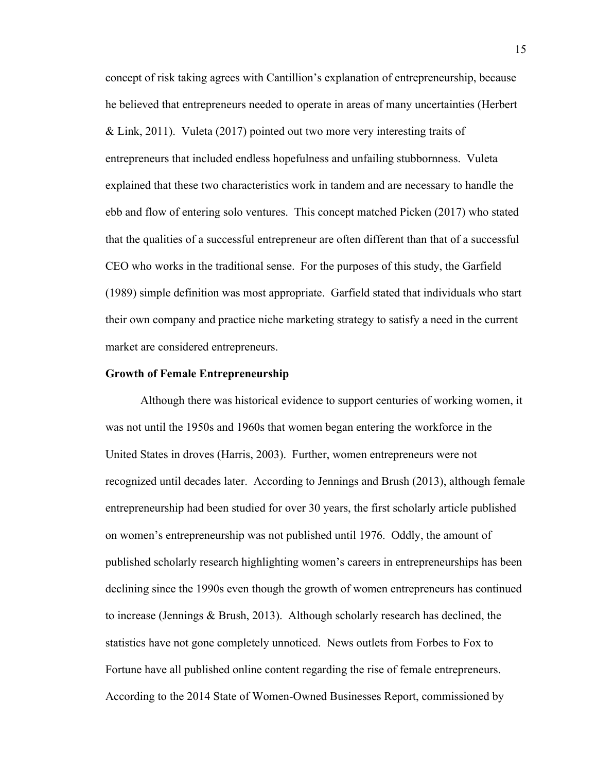concept of risk taking agrees with Cantillion's explanation of entrepreneurship, because he believed that entrepreneurs needed to operate in areas of many uncertainties (Herbert & Link, 2011). Vuleta (2017) pointed out two more very interesting traits of entrepreneurs that included endless hopefulness and unfailing stubbornness. Vuleta explained that these two characteristics work in tandem and are necessary to handle the ebb and flow of entering solo ventures. This concept matched Picken (2017) who stated that the qualities of a successful entrepreneur are often different than that of a successful CEO who works in the traditional sense. For the purposes of this study, the Garfield (1989) simple definition was most appropriate. Garfield stated that individuals who start their own company and practice niche marketing strategy to satisfy a need in the current market are considered entrepreneurs.

#### **Growth of Female Entrepreneurship**

Although there was historical evidence to support centuries of working women, it was not until the 1950s and 1960s that women began entering the workforce in the United States in droves (Harris, 2003). Further, women entrepreneurs were not recognized until decades later. According to Jennings and Brush (2013), although female entrepreneurship had been studied for over 30 years, the first scholarly article published on women's entrepreneurship was not published until 1976. Oddly, the amount of published scholarly research highlighting women's careers in entrepreneurships has been declining since the 1990s even though the growth of women entrepreneurs has continued to increase (Jennings & Brush, 2013). Although scholarly research has declined, the statistics have not gone completely unnoticed. News outlets from Forbes to Fox to Fortune have all published online content regarding the rise of female entrepreneurs. According to the 2014 State of Women-Owned Businesses Report, commissioned by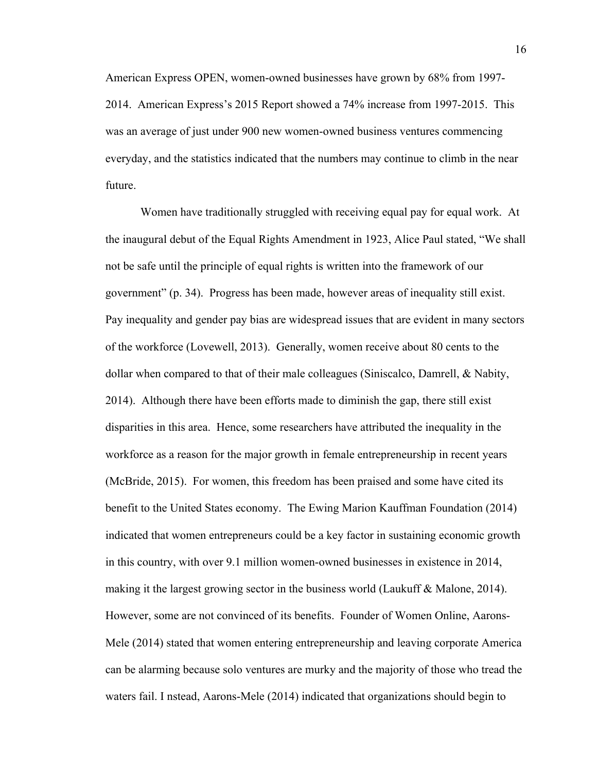American Express OPEN, women-owned businesses have grown by 68% from 1997- 2014. American Express's 2015 Report showed a 74% increase from 1997-2015. This was an average of just under 900 new women-owned business ventures commencing everyday, and the statistics indicated that the numbers may continue to climb in the near future.

Women have traditionally struggled with receiving equal pay for equal work. At the inaugural debut of the Equal Rights Amendment in 1923, Alice Paul stated, "We shall not be safe until the principle of equal rights is written into the framework of our government" (p. 34). Progress has been made, however areas of inequality still exist. Pay inequality and gender pay bias are widespread issues that are evident in many sectors of the workforce (Lovewell, 2013). Generally, women receive about 80 cents to the dollar when compared to that of their male colleagues (Siniscalco, Damrell, & Nabity, 2014). Although there have been efforts made to diminish the gap, there still exist disparities in this area. Hence, some researchers have attributed the inequality in the workforce as a reason for the major growth in female entrepreneurship in recent years (McBride, 2015). For women, this freedom has been praised and some have cited its benefit to the United States economy. The Ewing Marion Kauffman Foundation (2014) indicated that women entrepreneurs could be a key factor in sustaining economic growth in this country, with over 9.1 million women-owned businesses in existence in 2014, making it the largest growing sector in the business world (Laukuff & Malone, 2014). However, some are not convinced of its benefits. Founder of Women Online, Aarons-Mele (2014) stated that women entering entrepreneurship and leaving corporate America can be alarming because solo ventures are murky and the majority of those who tread the waters fail. I nstead, Aarons-Mele (2014) indicated that organizations should begin to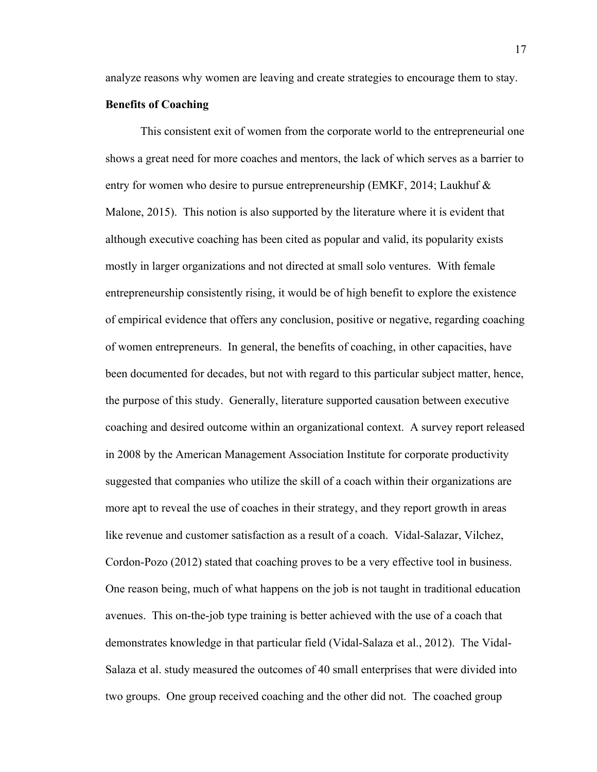analyze reasons why women are leaving and create strategies to encourage them to stay.

#### **Benefits of Coaching**

This consistent exit of women from the corporate world to the entrepreneurial one shows a great need for more coaches and mentors, the lack of which serves as a barrier to entry for women who desire to pursue entrepreneurship (EMKF, 2014; Laukhuf & Malone, 2015). This notion is also supported by the literature where it is evident that although executive coaching has been cited as popular and valid, its popularity exists mostly in larger organizations and not directed at small solo ventures. With female entrepreneurship consistently rising, it would be of high benefit to explore the existence of empirical evidence that offers any conclusion, positive or negative, regarding coaching of women entrepreneurs. In general, the benefits of coaching, in other capacities, have been documented for decades, but not with regard to this particular subject matter, hence, the purpose of this study. Generally, literature supported causation between executive coaching and desired outcome within an organizational context. A survey report released in 2008 by the American Management Association Institute for corporate productivity suggested that companies who utilize the skill of a coach within their organizations are more apt to reveal the use of coaches in their strategy, and they report growth in areas like revenue and customer satisfaction as a result of a coach. Vidal-Salazar, Vilchez, Cordon-Pozo (2012) stated that coaching proves to be a very effective tool in business. One reason being, much of what happens on the job is not taught in traditional education avenues. This on-the-job type training is better achieved with the use of a coach that demonstrates knowledge in that particular field (Vidal-Salaza et al., 2012). The Vidal-Salaza et al. study measured the outcomes of 40 small enterprises that were divided into two groups. One group received coaching and the other did not. The coached group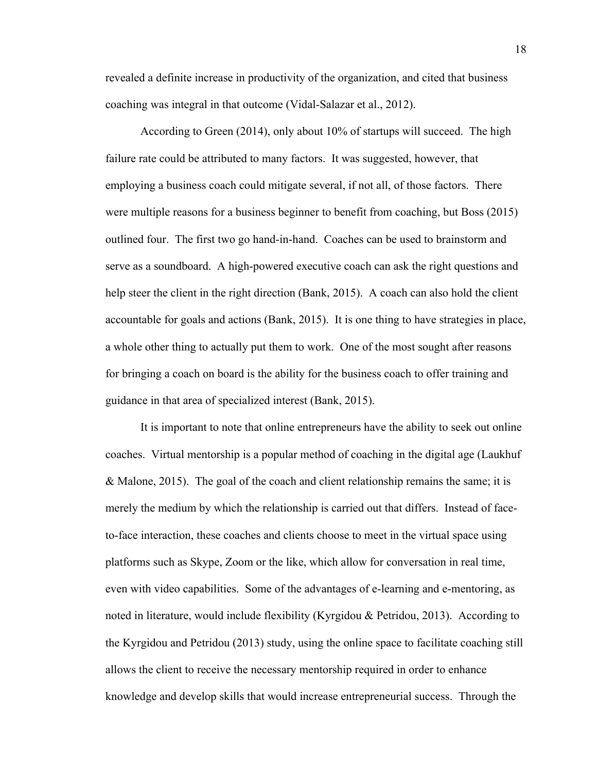revealed a definite increase in productivity of the organization, and cited that business coaching was integral in that outcome (Vidal-Salazar et al., 2012).

According to Green (2014), only about 10% of startups will succeed. The high failure rate could be attributed to many factors. It was suggested, however, that employing a business coach could mitigate several, if not all, of those factors. There were multiple reasons for a business beginner to benefit from coaching, but Boss (2015) outlined four. The first two go hand-in-hand. Coaches can be used to brainstorm and serve as a soundboard. A high-powered executive coach can ask the right questions and help steer the client in the right direction (Bank, 2015). A coach can also hold the client accountable for goals and actions (Bank, 2015). It is one thing to have strategies in place, a whole other thing to actually put them to work. One of the most sought after reasons for bringing a coach on board is the ability for the business coach to offer training and guidance in that area of specialized interest (Bank, 2015).

It is important to note that online entrepreneurs have the ability to seek out online coaches. Virtual mentorship is a popular method of coaching in the digital age (Laukhuf & Malone, 2015). The goal of the coach and client relationship remains the same; it is merely the medium by which the relationship is carried out that differs. Instead of faceto-face interaction, these coaches and clients choose to meet in the virtual space using platforms such as Skype, Zoom or the like, which allow for conversation in real time, even with video capabilities. Some of the advantages of e-learning and e-mentoring, as noted in literature, would include flexibility (Kyrgidou & Petridou, 2013). According to the Kyrgidou and Petridou (2013) study, using the online space to facilitate coaching still allows the client to receive the necessary mentorship required in order to enhance knowledge and develop skills that would increase entrepreneurial success. Through the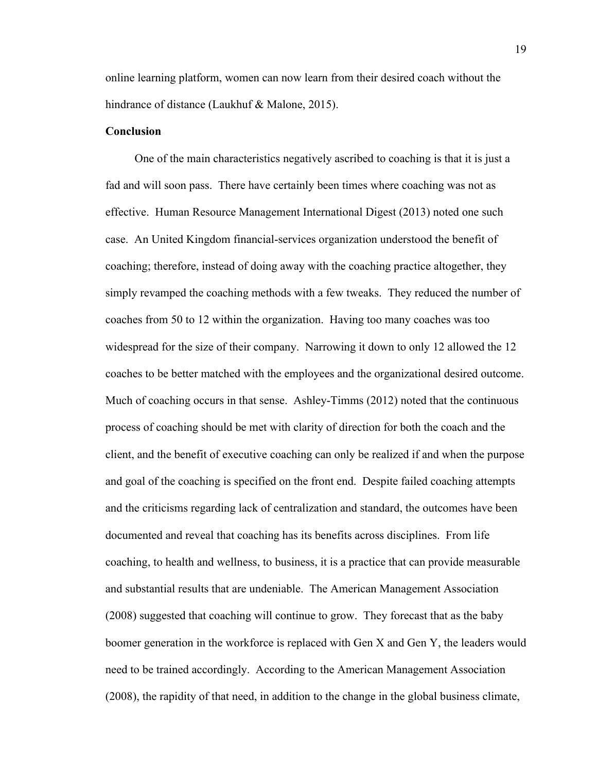online learning platform, women can now learn from their desired coach without the hindrance of distance (Laukhuf & Malone, 2015).

#### **Conclusion**

 One of the main characteristics negatively ascribed to coaching is that it is just a fad and will soon pass. There have certainly been times where coaching was not as effective. Human Resource Management International Digest (2013) noted one such case. An United Kingdom financial-services organization understood the benefit of coaching; therefore, instead of doing away with the coaching practice altogether, they simply revamped the coaching methods with a few tweaks. They reduced the number of coaches from 50 to 12 within the organization. Having too many coaches was too widespread for the size of their company. Narrowing it down to only 12 allowed the 12 coaches to be better matched with the employees and the organizational desired outcome. Much of coaching occurs in that sense. Ashley-Timms (2012) noted that the continuous process of coaching should be met with clarity of direction for both the coach and the client, and the benefit of executive coaching can only be realized if and when the purpose and goal of the coaching is specified on the front end. Despite failed coaching attempts and the criticisms regarding lack of centralization and standard, the outcomes have been documented and reveal that coaching has its benefits across disciplines. From life coaching, to health and wellness, to business, it is a practice that can provide measurable and substantial results that are undeniable. The American Management Association (2008) suggested that coaching will continue to grow. They forecast that as the baby boomer generation in the workforce is replaced with Gen X and Gen Y, the leaders would need to be trained accordingly. According to the American Management Association (2008), the rapidity of that need, in addition to the change in the global business climate,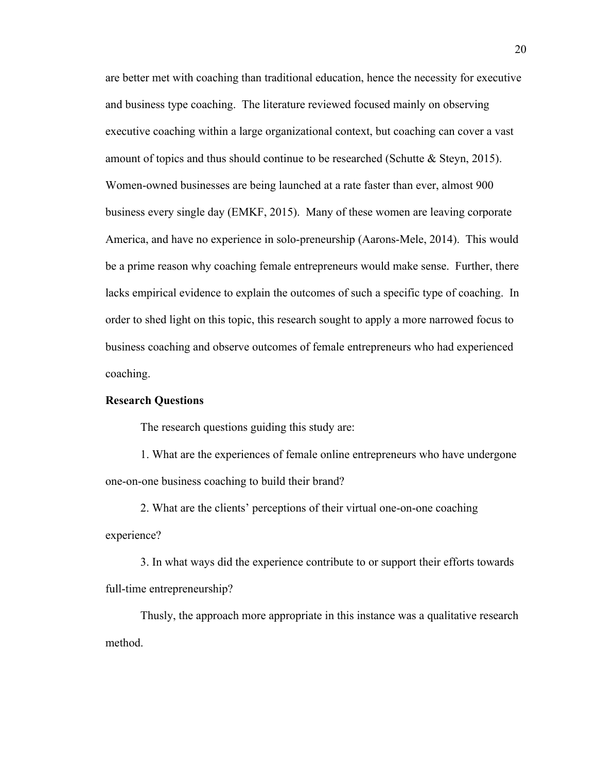are better met with coaching than traditional education, hence the necessity for executive and business type coaching. The literature reviewed focused mainly on observing executive coaching within a large organizational context, but coaching can cover a vast amount of topics and thus should continue to be researched (Schutte  $\&$  Steyn, 2015). Women-owned businesses are being launched at a rate faster than ever, almost 900 business every single day (EMKF, 2015). Many of these women are leaving corporate America, and have no experience in solo-preneurship (Aarons-Mele, 2014). This would be a prime reason why coaching female entrepreneurs would make sense. Further, there lacks empirical evidence to explain the outcomes of such a specific type of coaching. In order to shed light on this topic, this research sought to apply a more narrowed focus to business coaching and observe outcomes of female entrepreneurs who had experienced coaching.

#### **Research Questions**

The research questions guiding this study are:

1. What are the experiences of female online entrepreneurs who have undergone one-on-one business coaching to build their brand?

2. What are the clients' perceptions of their virtual one-on-one coaching experience?

3. In what ways did the experience contribute to or support their efforts towards full-time entrepreneurship?

Thusly, the approach more appropriate in this instance was a qualitative research method.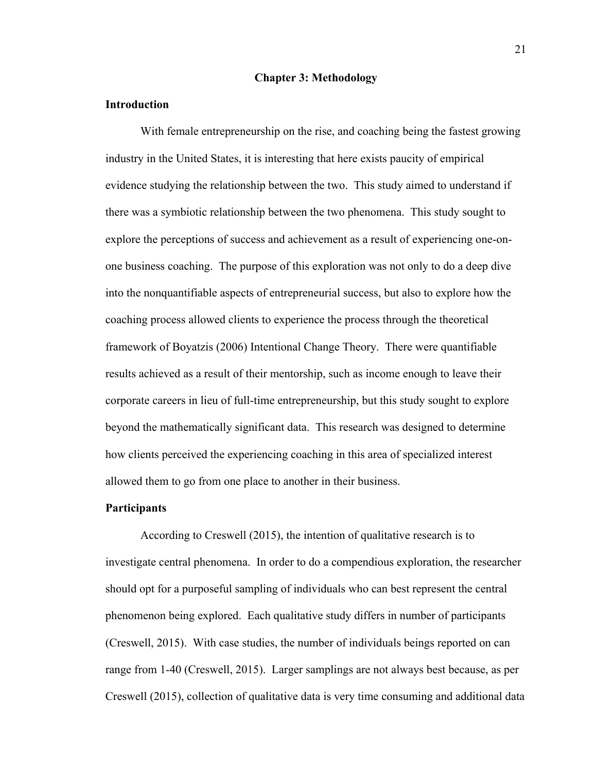#### **Chapter 3: Methodology**

#### **Introduction**

With female entrepreneurship on the rise, and coaching being the fastest growing industry in the United States, it is interesting that here exists paucity of empirical evidence studying the relationship between the two. This study aimed to understand if there was a symbiotic relationship between the two phenomena. This study sought to explore the perceptions of success and achievement as a result of experiencing one-onone business coaching. The purpose of this exploration was not only to do a deep dive into the nonquantifiable aspects of entrepreneurial success, but also to explore how the coaching process allowed clients to experience the process through the theoretical framework of Boyatzis (2006) Intentional Change Theory. There were quantifiable results achieved as a result of their mentorship, such as income enough to leave their corporate careers in lieu of full-time entrepreneurship, but this study sought to explore beyond the mathematically significant data. This research was designed to determine how clients perceived the experiencing coaching in this area of specialized interest allowed them to go from one place to another in their business.

#### **Participants**

According to Creswell (2015), the intention of qualitative research is to investigate central phenomena. In order to do a compendious exploration, the researcher should opt for a purposeful sampling of individuals who can best represent the central phenomenon being explored. Each qualitative study differs in number of participants (Creswell, 2015). With case studies, the number of individuals beings reported on can range from 1-40 (Creswell, 2015). Larger samplings are not always best because, as per Creswell (2015), collection of qualitative data is very time consuming and additional data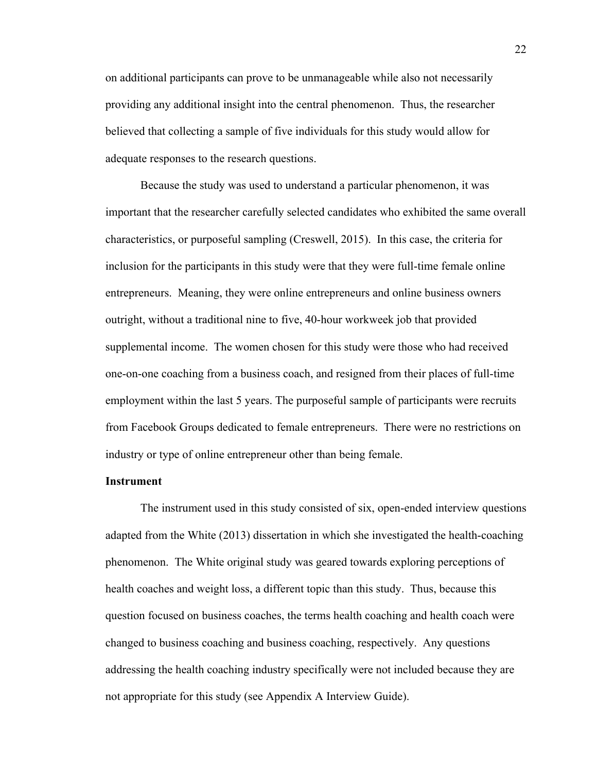on additional participants can prove to be unmanageable while also not necessarily providing any additional insight into the central phenomenon. Thus, the researcher believed that collecting a sample of five individuals for this study would allow for adequate responses to the research questions.

Because the study was used to understand a particular phenomenon, it was important that the researcher carefully selected candidates who exhibited the same overall characteristics, or purposeful sampling (Creswell, 2015). In this case, the criteria for inclusion for the participants in this study were that they were full-time female online entrepreneurs. Meaning, they were online entrepreneurs and online business owners outright, without a traditional nine to five, 40-hour workweek job that provided supplemental income. The women chosen for this study were those who had received one-on-one coaching from a business coach, and resigned from their places of full-time employment within the last 5 years. The purposeful sample of participants were recruits from Facebook Groups dedicated to female entrepreneurs. There were no restrictions on industry or type of online entrepreneur other than being female.

#### **Instrument**

The instrument used in this study consisted of six, open-ended interview questions adapted from the White (2013) dissertation in which she investigated the health-coaching phenomenon. The White original study was geared towards exploring perceptions of health coaches and weight loss, a different topic than this study. Thus, because this question focused on business coaches, the terms health coaching and health coach were changed to business coaching and business coaching, respectively. Any questions addressing the health coaching industry specifically were not included because they are not appropriate for this study (see Appendix A Interview Guide).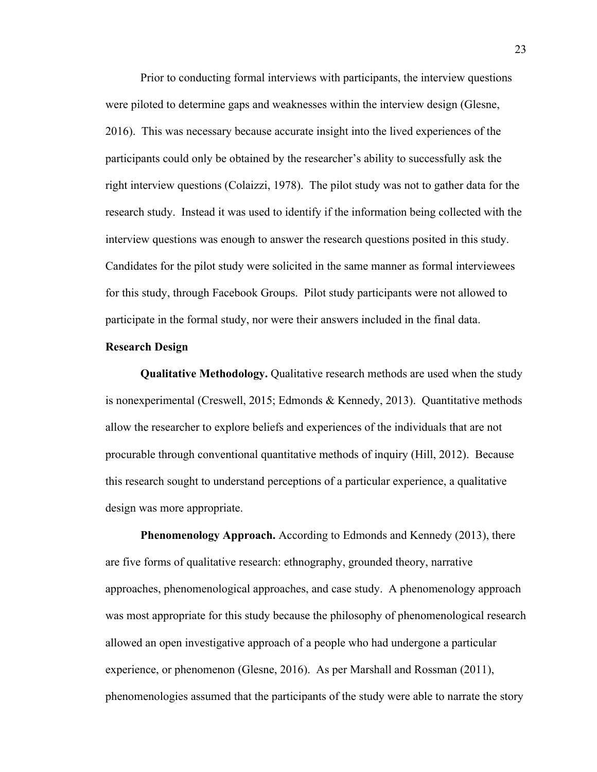Prior to conducting formal interviews with participants, the interview questions were piloted to determine gaps and weaknesses within the interview design (Glesne, 2016). This was necessary because accurate insight into the lived experiences of the participants could only be obtained by the researcher's ability to successfully ask the right interview questions (Colaizzi, 1978). The pilot study was not to gather data for the research study. Instead it was used to identify if the information being collected with the interview questions was enough to answer the research questions posited in this study. Candidates for the pilot study were solicited in the same manner as formal interviewees for this study, through Facebook Groups. Pilot study participants were not allowed to participate in the formal study, nor were their answers included in the final data.

#### **Research Design**

**Qualitative Methodology.** Qualitative research methods are used when the study is nonexperimental (Creswell, 2015; Edmonds & Kennedy, 2013). Quantitative methods allow the researcher to explore beliefs and experiences of the individuals that are not procurable through conventional quantitative methods of inquiry (Hill, 2012). Because this research sought to understand perceptions of a particular experience, a qualitative design was more appropriate.

**Phenomenology Approach.** According to Edmonds and Kennedy (2013), there are five forms of qualitative research: ethnography, grounded theory, narrative approaches, phenomenological approaches, and case study. A phenomenology approach was most appropriate for this study because the philosophy of phenomenological research allowed an open investigative approach of a people who had undergone a particular experience, or phenomenon (Glesne, 2016). As per Marshall and Rossman (2011), phenomenologies assumed that the participants of the study were able to narrate the story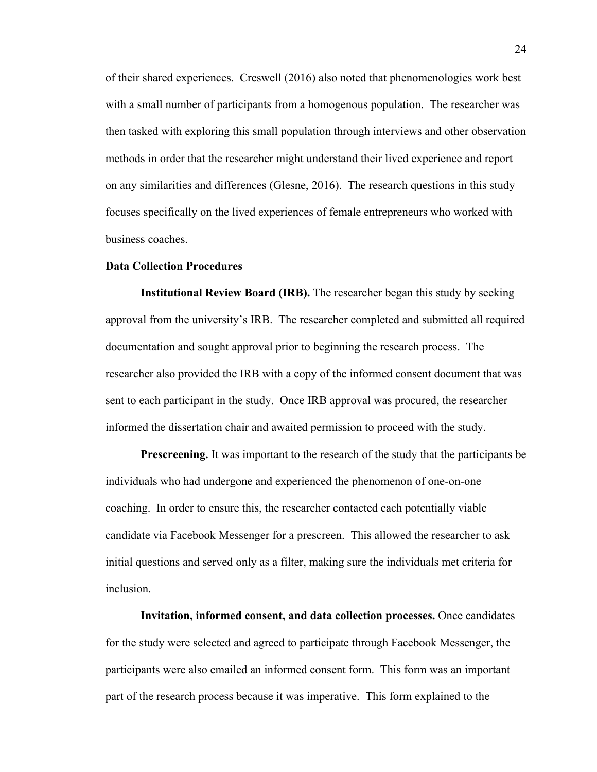of their shared experiences. Creswell (2016) also noted that phenomenologies work best with a small number of participants from a homogenous population. The researcher was then tasked with exploring this small population through interviews and other observation methods in order that the researcher might understand their lived experience and report on any similarities and differences (Glesne, 2016). The research questions in this study focuses specifically on the lived experiences of female entrepreneurs who worked with business coaches.

#### **Data Collection Procedures**

**Institutional Review Board (IRB).** The researcher began this study by seeking approval from the university's IRB. The researcher completed and submitted all required documentation and sought approval prior to beginning the research process. The researcher also provided the IRB with a copy of the informed consent document that was sent to each participant in the study. Once IRB approval was procured, the researcher informed the dissertation chair and awaited permission to proceed with the study.

**Prescreening.** It was important to the research of the study that the participants be individuals who had undergone and experienced the phenomenon of one-on-one coaching. In order to ensure this, the researcher contacted each potentially viable candidate via Facebook Messenger for a prescreen. This allowed the researcher to ask initial questions and served only as a filter, making sure the individuals met criteria for inclusion.

**Invitation, informed consent, and data collection processes.** Once candidates for the study were selected and agreed to participate through Facebook Messenger, the participants were also emailed an informed consent form. This form was an important part of the research process because it was imperative. This form explained to the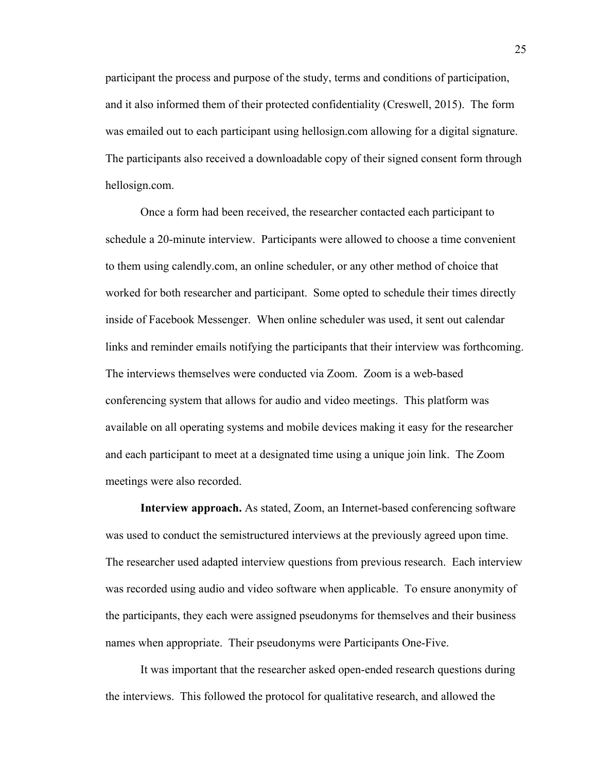participant the process and purpose of the study, terms and conditions of participation, and it also informed them of their protected confidentiality (Creswell, 2015). The form was emailed out to each participant using hellosign.com allowing for a digital signature. The participants also received a downloadable copy of their signed consent form through hellosign.com.

Once a form had been received, the researcher contacted each participant to schedule a 20-minute interview. Participants were allowed to choose a time convenient to them using calendly.com, an online scheduler, or any other method of choice that worked for both researcher and participant. Some opted to schedule their times directly inside of Facebook Messenger. When online scheduler was used, it sent out calendar links and reminder emails notifying the participants that their interview was forthcoming. The interviews themselves were conducted via Zoom. Zoom is a web-based conferencing system that allows for audio and video meetings. This platform was available on all operating systems and mobile devices making it easy for the researcher and each participant to meet at a designated time using a unique join link. The Zoom meetings were also recorded.

**Interview approach.** As stated, Zoom, an Internet-based conferencing software was used to conduct the semistructured interviews at the previously agreed upon time. The researcher used adapted interview questions from previous research. Each interview was recorded using audio and video software when applicable. To ensure anonymity of the participants, they each were assigned pseudonyms for themselves and their business names when appropriate. Their pseudonyms were Participants One-Five.

It was important that the researcher asked open-ended research questions during the interviews. This followed the protocol for qualitative research, and allowed the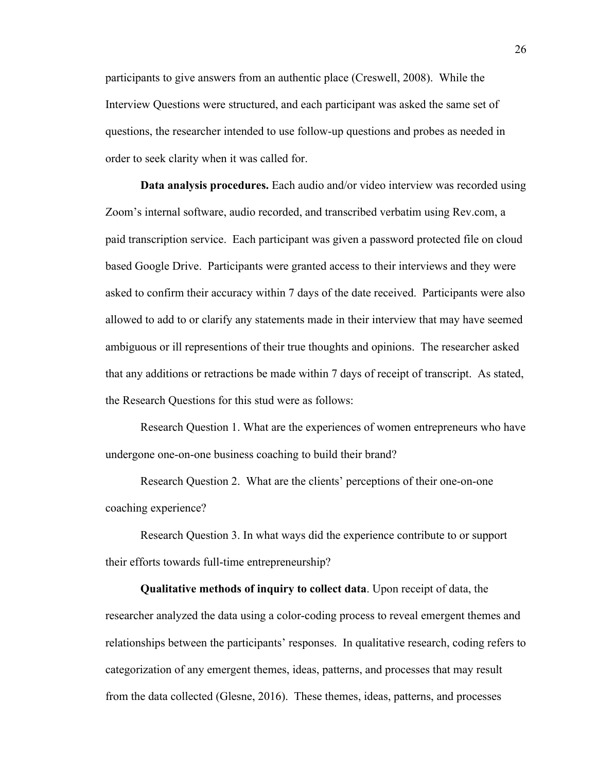participants to give answers from an authentic place (Creswell, 2008). While the Interview Questions were structured, and each participant was asked the same set of questions, the researcher intended to use follow-up questions and probes as needed in order to seek clarity when it was called for.

**Data analysis procedures.** Each audio and/or video interview was recorded using Zoom's internal software, audio recorded, and transcribed verbatim using Rev.com, a paid transcription service. Each participant was given a password protected file on cloud based Google Drive. Participants were granted access to their interviews and they were asked to confirm their accuracy within 7 days of the date received. Participants were also allowed to add to or clarify any statements made in their interview that may have seemed ambiguous or ill representions of their true thoughts and opinions. The researcher asked that any additions or retractions be made within 7 days of receipt of transcript. As stated, the Research Questions for this stud were as follows:

Research Question 1. What are the experiences of women entrepreneurs who have undergone one-on-one business coaching to build their brand?

Research Question 2. What are the clients' perceptions of their one-on-one coaching experience?

Research Question 3. In what ways did the experience contribute to or support their efforts towards full-time entrepreneurship?

**Qualitative methods of inquiry to collect data**. Upon receipt of data, the researcher analyzed the data using a color-coding process to reveal emergent themes and relationships between the participants' responses. In qualitative research, coding refers to categorization of any emergent themes, ideas, patterns, and processes that may result from the data collected (Glesne, 2016). These themes, ideas, patterns, and processes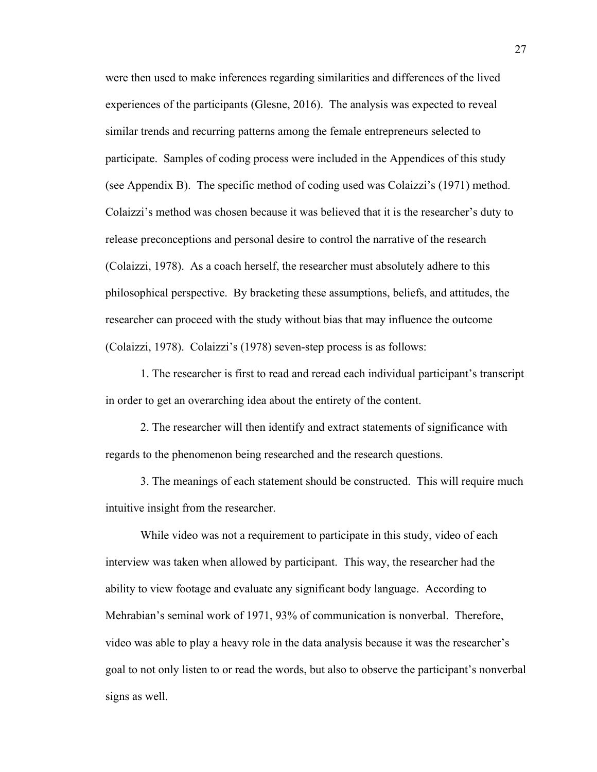were then used to make inferences regarding similarities and differences of the lived experiences of the participants (Glesne, 2016). The analysis was expected to reveal similar trends and recurring patterns among the female entrepreneurs selected to participate. Samples of coding process were included in the Appendices of this study (see Appendix B). The specific method of coding used was Colaizzi's (1971) method. Colaizzi's method was chosen because it was believed that it is the researcher's duty to release preconceptions and personal desire to control the narrative of the research (Colaizzi, 1978). As a coach herself, the researcher must absolutely adhere to this philosophical perspective. By bracketing these assumptions, beliefs, and attitudes, the researcher can proceed with the study without bias that may influence the outcome (Colaizzi, 1978). Colaizzi's (1978) seven-step process is as follows:

1. The researcher is first to read and reread each individual participant's transcript in order to get an overarching idea about the entirety of the content.

2. The researcher will then identify and extract statements of significance with regards to the phenomenon being researched and the research questions.

3. The meanings of each statement should be constructed. This will require much intuitive insight from the researcher.

While video was not a requirement to participate in this study, video of each interview was taken when allowed by participant. This way, the researcher had the ability to view footage and evaluate any significant body language. According to Mehrabian's seminal work of 1971, 93% of communication is nonverbal. Therefore, video was able to play a heavy role in the data analysis because it was the researcher's goal to not only listen to or read the words, but also to observe the participant's nonverbal signs as well.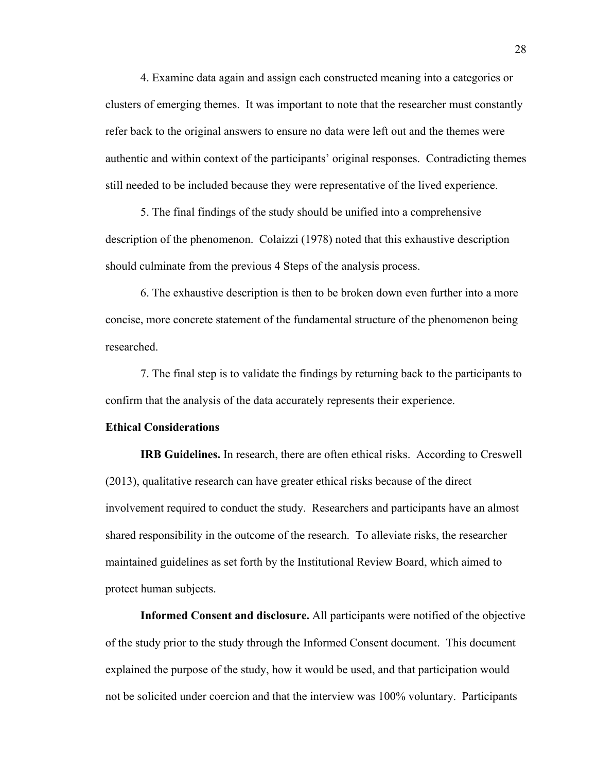4. Examine data again and assign each constructed meaning into a categories or clusters of emerging themes. It was important to note that the researcher must constantly refer back to the original answers to ensure no data were left out and the themes were authentic and within context of the participants' original responses. Contradicting themes still needed to be included because they were representative of the lived experience.

5. The final findings of the study should be unified into a comprehensive description of the phenomenon. Colaizzi (1978) noted that this exhaustive description should culminate from the previous 4 Steps of the analysis process.

6. The exhaustive description is then to be broken down even further into a more concise, more concrete statement of the fundamental structure of the phenomenon being researched.

7. The final step is to validate the findings by returning back to the participants to confirm that the analysis of the data accurately represents their experience.

#### **Ethical Considerations**

**IRB Guidelines.** In research, there are often ethical risks. According to Creswell (2013), qualitative research can have greater ethical risks because of the direct involvement required to conduct the study. Researchers and participants have an almost shared responsibility in the outcome of the research. To alleviate risks, the researcher maintained guidelines as set forth by the Institutional Review Board, which aimed to protect human subjects.

**Informed Consent and disclosure.** All participants were notified of the objective of the study prior to the study through the Informed Consent document. This document explained the purpose of the study, how it would be used, and that participation would not be solicited under coercion and that the interview was 100% voluntary. Participants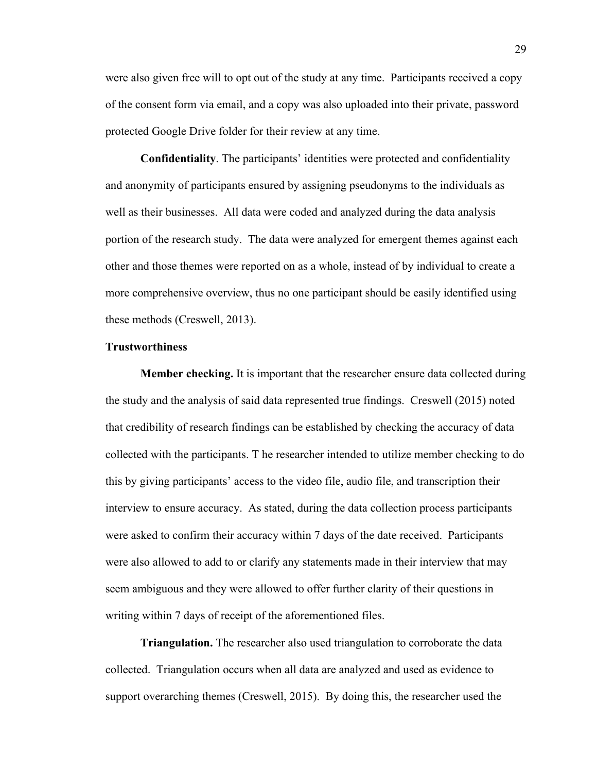were also given free will to opt out of the study at any time. Participants received a copy of the consent form via email, and a copy was also uploaded into their private, password protected Google Drive folder for their review at any time.

**Confidentiality**. The participants' identities were protected and confidentiality and anonymity of participants ensured by assigning pseudonyms to the individuals as well as their businesses. All data were coded and analyzed during the data analysis portion of the research study. The data were analyzed for emergent themes against each other and those themes were reported on as a whole, instead of by individual to create a more comprehensive overview, thus no one participant should be easily identified using these methods (Creswell, 2013).

# **Trustworthiness**

**Member checking.** It is important that the researcher ensure data collected during the study and the analysis of said data represented true findings. Creswell (2015) noted that credibility of research findings can be established by checking the accuracy of data collected with the participants. T he researcher intended to utilize member checking to do this by giving participants' access to the video file, audio file, and transcription their interview to ensure accuracy. As stated, during the data collection process participants were asked to confirm their accuracy within 7 days of the date received. Participants were also allowed to add to or clarify any statements made in their interview that may seem ambiguous and they were allowed to offer further clarity of their questions in writing within 7 days of receipt of the aforementioned files.

**Triangulation.** The researcher also used triangulation to corroborate the data collected. Triangulation occurs when all data are analyzed and used as evidence to support overarching themes (Creswell, 2015). By doing this, the researcher used the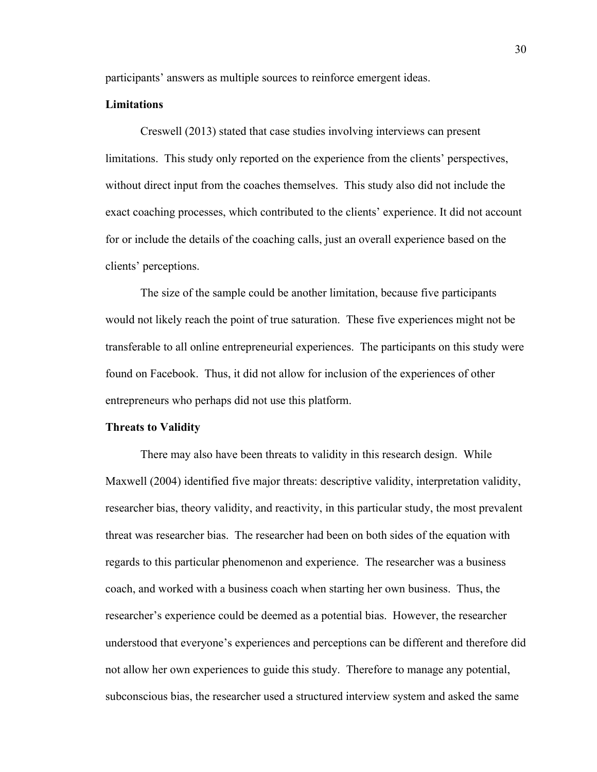participants' answers as multiple sources to reinforce emergent ideas.

# **Limitations**

Creswell (2013) stated that case studies involving interviews can present limitations. This study only reported on the experience from the clients' perspectives, without direct input from the coaches themselves. This study also did not include the exact coaching processes, which contributed to the clients' experience. It did not account for or include the details of the coaching calls, just an overall experience based on the clients' perceptions.

The size of the sample could be another limitation, because five participants would not likely reach the point of true saturation. These five experiences might not be transferable to all online entrepreneurial experiences. The participants on this study were found on Facebook. Thus, it did not allow for inclusion of the experiences of other entrepreneurs who perhaps did not use this platform.

#### **Threats to Validity**

There may also have been threats to validity in this research design. While Maxwell (2004) identified five major threats: descriptive validity, interpretation validity, researcher bias, theory validity, and reactivity, in this particular study, the most prevalent threat was researcher bias. The researcher had been on both sides of the equation with regards to this particular phenomenon and experience. The researcher was a business coach, and worked with a business coach when starting her own business. Thus, the researcher's experience could be deemed as a potential bias. However, the researcher understood that everyone's experiences and perceptions can be different and therefore did not allow her own experiences to guide this study. Therefore to manage any potential, subconscious bias, the researcher used a structured interview system and asked the same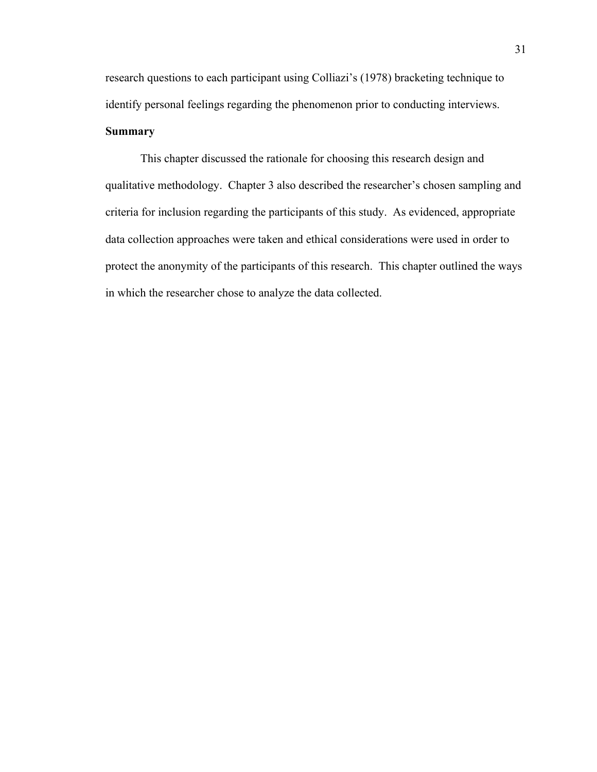research questions to each participant using Colliazi's (1978) bracketing technique to identify personal feelings regarding the phenomenon prior to conducting interviews. **Summary**

This chapter discussed the rationale for choosing this research design and qualitative methodology. Chapter 3 also described the researcher's chosen sampling and criteria for inclusion regarding the participants of this study. As evidenced, appropriate data collection approaches were taken and ethical considerations were used in order to protect the anonymity of the participants of this research. This chapter outlined the ways in which the researcher chose to analyze the data collected.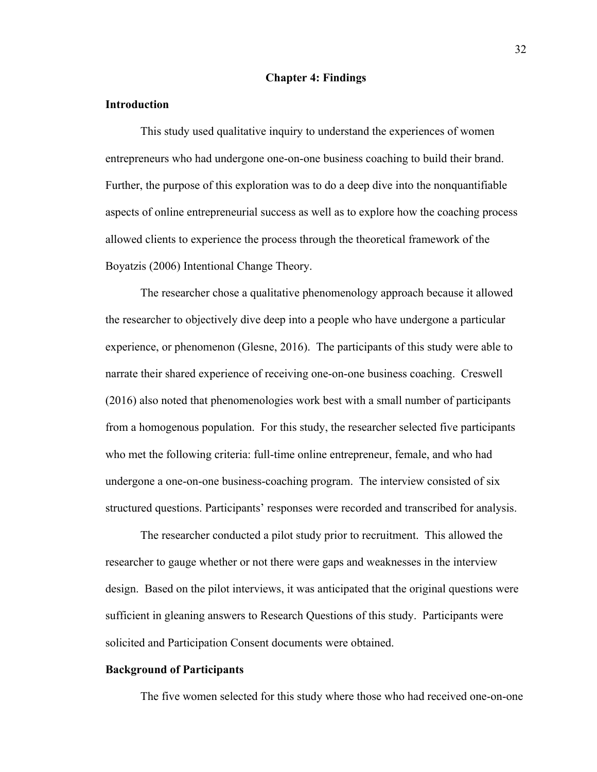# **Chapter 4: Findings**

# **Introduction**

This study used qualitative inquiry to understand the experiences of women entrepreneurs who had undergone one-on-one business coaching to build their brand. Further, the purpose of this exploration was to do a deep dive into the nonquantifiable aspects of online entrepreneurial success as well as to explore how the coaching process allowed clients to experience the process through the theoretical framework of the Boyatzis (2006) Intentional Change Theory.

The researcher chose a qualitative phenomenology approach because it allowed the researcher to objectively dive deep into a people who have undergone a particular experience, or phenomenon (Glesne, 2016). The participants of this study were able to narrate their shared experience of receiving one-on-one business coaching. Creswell (2016) also noted that phenomenologies work best with a small number of participants from a homogenous population. For this study, the researcher selected five participants who met the following criteria: full-time online entrepreneur, female, and who had undergone a one-on-one business-coaching program. The interview consisted of six structured questions. Participants' responses were recorded and transcribed for analysis.

The researcher conducted a pilot study prior to recruitment. This allowed the researcher to gauge whether or not there were gaps and weaknesses in the interview design. Based on the pilot interviews, it was anticipated that the original questions were sufficient in gleaning answers to Research Questions of this study. Participants were solicited and Participation Consent documents were obtained.

# **Background of Participants**

The five women selected for this study where those who had received one-on-one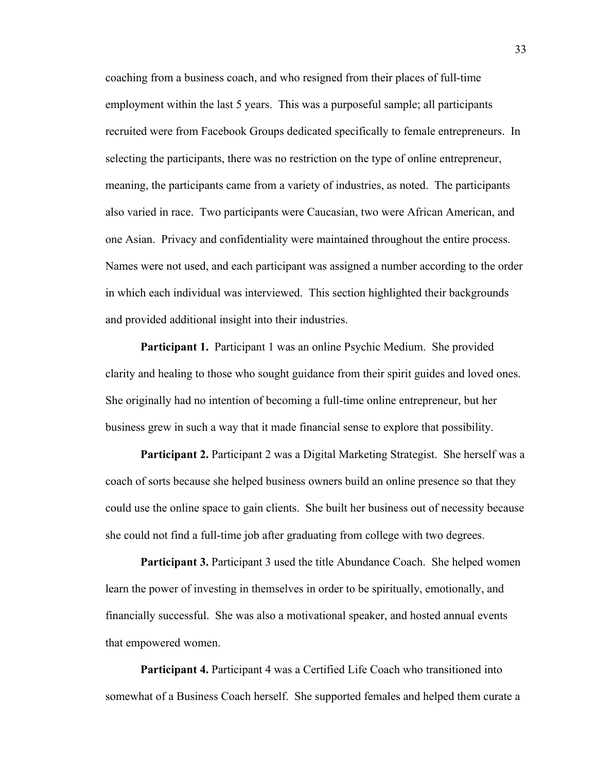coaching from a business coach, and who resigned from their places of full-time employment within the last 5 years. This was a purposeful sample; all participants recruited were from Facebook Groups dedicated specifically to female entrepreneurs. In selecting the participants, there was no restriction on the type of online entrepreneur, meaning, the participants came from a variety of industries, as noted. The participants also varied in race. Two participants were Caucasian, two were African American, and one Asian. Privacy and confidentiality were maintained throughout the entire process. Names were not used, and each participant was assigned a number according to the order in which each individual was interviewed. This section highlighted their backgrounds and provided additional insight into their industries.

**Participant 1.** Participant 1 was an online Psychic Medium. She provided clarity and healing to those who sought guidance from their spirit guides and loved ones. She originally had no intention of becoming a full-time online entrepreneur, but her business grew in such a way that it made financial sense to explore that possibility.

**Participant 2.** Participant 2 was a Digital Marketing Strategist. She herself was a coach of sorts because she helped business owners build an online presence so that they could use the online space to gain clients. She built her business out of necessity because she could not find a full-time job after graduating from college with two degrees.

**Participant 3.** Participant 3 used the title Abundance Coach. She helped women learn the power of investing in themselves in order to be spiritually, emotionally, and financially successful. She was also a motivational speaker, and hosted annual events that empowered women.

**Participant 4.** Participant 4 was a Certified Life Coach who transitioned into somewhat of a Business Coach herself. She supported females and helped them curate a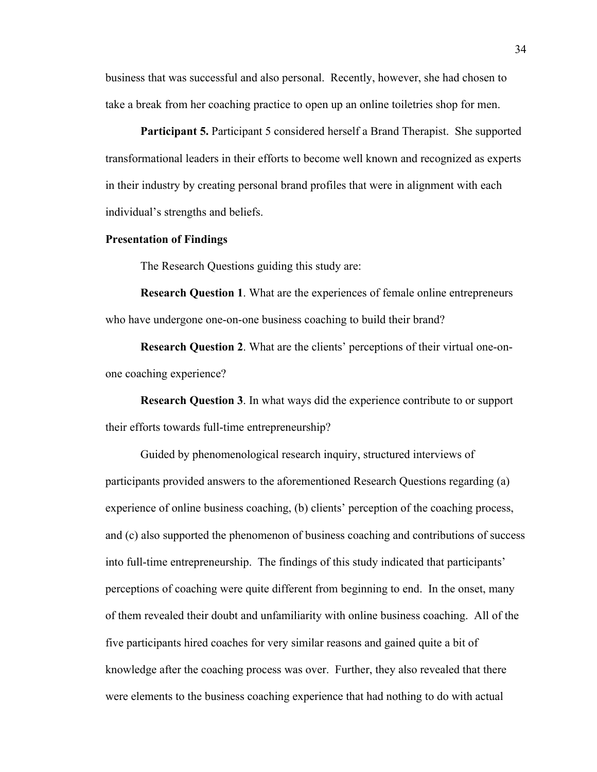business that was successful and also personal. Recently, however, she had chosen to take a break from her coaching practice to open up an online toiletries shop for men.

**Participant 5.** Participant 5 considered herself a Brand Therapist. She supported transformational leaders in their efforts to become well known and recognized as experts in their industry by creating personal brand profiles that were in alignment with each individual's strengths and beliefs.

#### **Presentation of Findings**

The Research Questions guiding this study are:

**Research Question 1**. What are the experiences of female online entrepreneurs who have undergone one-on-one business coaching to build their brand?

**Research Question 2**. What are the clients' perceptions of their virtual one-onone coaching experience?

**Research Question 3**. In what ways did the experience contribute to or support their efforts towards full-time entrepreneurship?

Guided by phenomenological research inquiry, structured interviews of participants provided answers to the aforementioned Research Questions regarding (a) experience of online business coaching, (b) clients' perception of the coaching process, and (c) also supported the phenomenon of business coaching and contributions of success into full-time entrepreneurship. The findings of this study indicated that participants' perceptions of coaching were quite different from beginning to end. In the onset, many of them revealed their doubt and unfamiliarity with online business coaching. All of the five participants hired coaches for very similar reasons and gained quite a bit of knowledge after the coaching process was over. Further, they also revealed that there were elements to the business coaching experience that had nothing to do with actual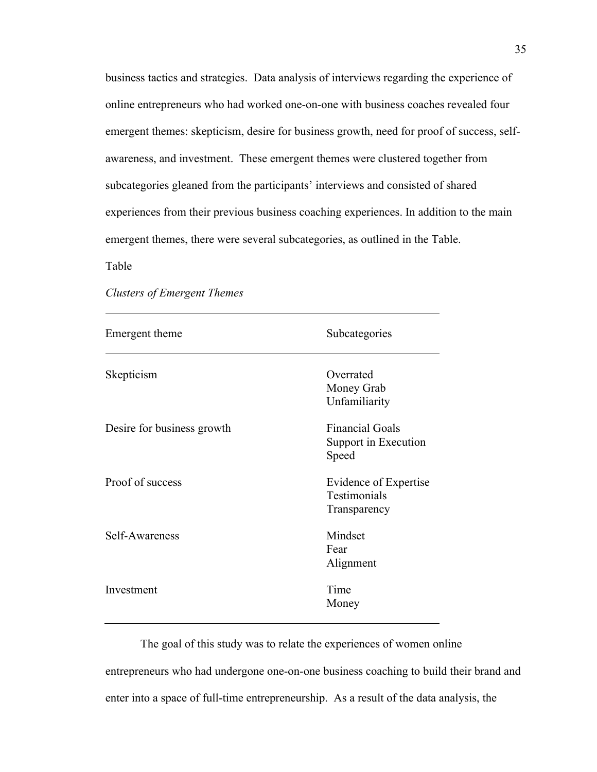business tactics and strategies. Data analysis of interviews regarding the experience of online entrepreneurs who had worked one-on-one with business coaches revealed four emergent themes: skepticism, desire for business growth, need for proof of success, selfawareness, and investment. These emergent themes were clustered together from subcategories gleaned from the participants' interviews and consisted of shared experiences from their previous business coaching experiences. In addition to the main emergent themes, there were several subcategories, as outlined in the Table.

Table

| Emergent theme             | Subcategories                                                |
|----------------------------|--------------------------------------------------------------|
| Skepticism                 | Overrated<br>Money Grab<br>Unfamiliarity                     |
| Desire for business growth | <b>Financial Goals</b><br>Support in Execution<br>Speed      |
| Proof of success           | Evidence of Expertise<br><b>Testimonials</b><br>Transparency |
| Self-Awareness             | Mindset<br>Fear<br>Alignment                                 |
| Investment                 | Time<br>Money                                                |

*Clusters of Emergent Themes*

The goal of this study was to relate the experiences of women online entrepreneurs who had undergone one-on-one business coaching to build their brand and enter into a space of full-time entrepreneurship. As a result of the data analysis, the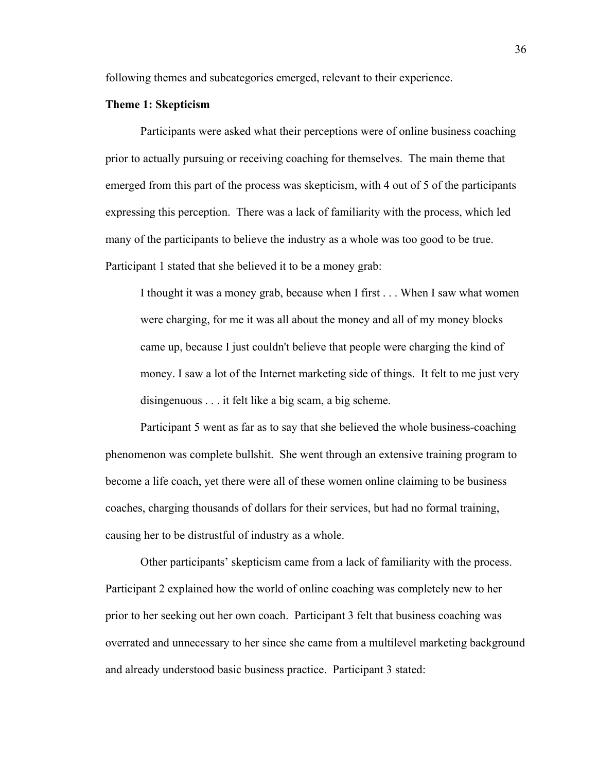following themes and subcategories emerged, relevant to their experience.

# **Theme 1: Skepticism**

Participants were asked what their perceptions were of online business coaching prior to actually pursuing or receiving coaching for themselves. The main theme that emerged from this part of the process was skepticism, with 4 out of 5 of the participants expressing this perception. There was a lack of familiarity with the process, which led many of the participants to believe the industry as a whole was too good to be true. Participant 1 stated that she believed it to be a money grab:

I thought it was a money grab, because when I first . . . When I saw what women were charging, for me it was all about the money and all of my money blocks came up, because I just couldn't believe that people were charging the kind of money. I saw a lot of the Internet marketing side of things. It felt to me just very disingenuous . . . it felt like a big scam, a big scheme.

Participant 5 went as far as to say that she believed the whole business-coaching phenomenon was complete bullshit. She went through an extensive training program to become a life coach, yet there were all of these women online claiming to be business coaches, charging thousands of dollars for their services, but had no formal training, causing her to be distrustful of industry as a whole.

Other participants' skepticism came from a lack of familiarity with the process. Participant 2 explained how the world of online coaching was completely new to her prior to her seeking out her own coach. Participant 3 felt that business coaching was overrated and unnecessary to her since she came from a multilevel marketing background and already understood basic business practice. Participant 3 stated: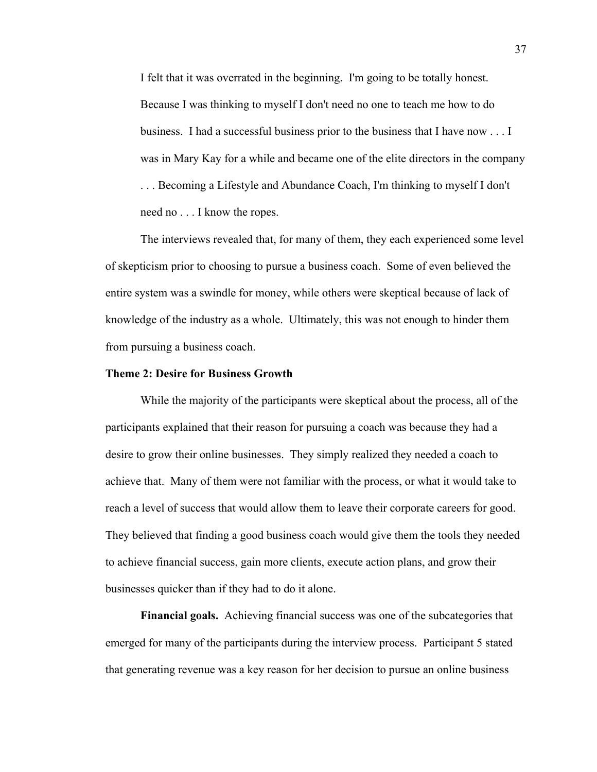I felt that it was overrated in the beginning. I'm going to be totally honest. Because I was thinking to myself I don't need no one to teach me how to do business. I had a successful business prior to the business that I have now . . . I was in Mary Kay for a while and became one of the elite directors in the company . . . Becoming a Lifestyle and Abundance Coach, I'm thinking to myself I don't need no . . . I know the ropes.

The interviews revealed that, for many of them, they each experienced some level of skepticism prior to choosing to pursue a business coach. Some of even believed the entire system was a swindle for money, while others were skeptical because of lack of knowledge of the industry as a whole. Ultimately, this was not enough to hinder them from pursuing a business coach.

#### **Theme 2: Desire for Business Growth**

While the majority of the participants were skeptical about the process, all of the participants explained that their reason for pursuing a coach was because they had a desire to grow their online businesses. They simply realized they needed a coach to achieve that. Many of them were not familiar with the process, or what it would take to reach a level of success that would allow them to leave their corporate careers for good. They believed that finding a good business coach would give them the tools they needed to achieve financial success, gain more clients, execute action plans, and grow their businesses quicker than if they had to do it alone.

**Financial goals.** Achieving financial success was one of the subcategories that emerged for many of the participants during the interview process. Participant 5 stated that generating revenue was a key reason for her decision to pursue an online business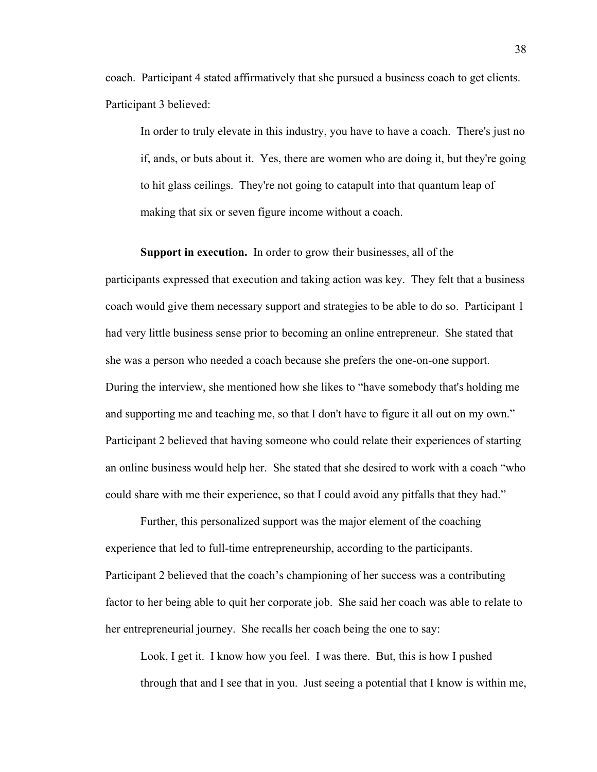coach. Participant 4 stated affirmatively that she pursued a business coach to get clients. Participant 3 believed:

In order to truly elevate in this industry, you have to have a coach. There's just no if, ands, or buts about it. Yes, there are women who are doing it, but they're going to hit glass ceilings. They're not going to catapult into that quantum leap of making that six or seven figure income without a coach.

**Support in execution.** In order to grow their businesses, all of the participants expressed that execution and taking action was key. They felt that a business coach would give them necessary support and strategies to be able to do so. Participant 1 had very little business sense prior to becoming an online entrepreneur. She stated that she was a person who needed a coach because she prefers the one-on-one support. During the interview, she mentioned how she likes to "have somebody that's holding me and supporting me and teaching me, so that I don't have to figure it all out on my own." Participant 2 believed that having someone who could relate their experiences of starting an online business would help her. She stated that she desired to work with a coach "who could share with me their experience, so that I could avoid any pitfalls that they had."

Further, this personalized support was the major element of the coaching experience that led to full-time entrepreneurship, according to the participants. Participant 2 believed that the coach's championing of her success was a contributing factor to her being able to quit her corporate job. She said her coach was able to relate to her entrepreneurial journey. She recalls her coach being the one to say:

Look, I get it. I know how you feel. I was there. But, this is how I pushed through that and I see that in you. Just seeing a potential that I know is within me,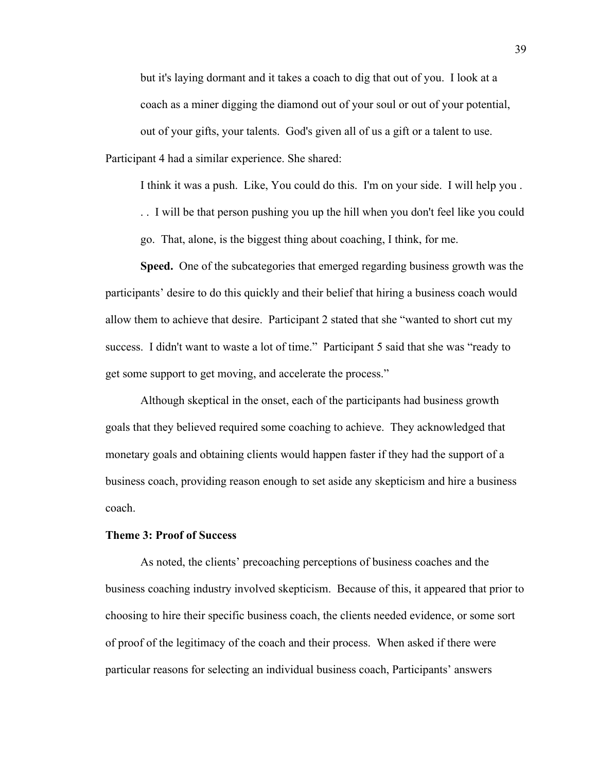but it's laying dormant and it takes a coach to dig that out of you. I look at a coach as a miner digging the diamond out of your soul or out of your potential, out of your gifts, your talents. God's given all of us a gift or a talent to use. Participant 4 had a similar experience. She shared:

I think it was a push. Like, You could do this. I'm on your side. I will help you .

. . I will be that person pushing you up the hill when you don't feel like you could

go. That, alone, is the biggest thing about coaching, I think, for me.

**Speed.** One of the subcategories that emerged regarding business growth was the participants' desire to do this quickly and their belief that hiring a business coach would allow them to achieve that desire. Participant 2 stated that she "wanted to short cut my success. I didn't want to waste a lot of time." Participant 5 said that she was "ready to get some support to get moving, and accelerate the process."

Although skeptical in the onset, each of the participants had business growth goals that they believed required some coaching to achieve. They acknowledged that monetary goals and obtaining clients would happen faster if they had the support of a business coach, providing reason enough to set aside any skepticism and hire a business coach.

#### **Theme 3: Proof of Success**

As noted, the clients' precoaching perceptions of business coaches and the business coaching industry involved skepticism. Because of this, it appeared that prior to choosing to hire their specific business coach, the clients needed evidence, or some sort of proof of the legitimacy of the coach and their process. When asked if there were particular reasons for selecting an individual business coach, Participants' answers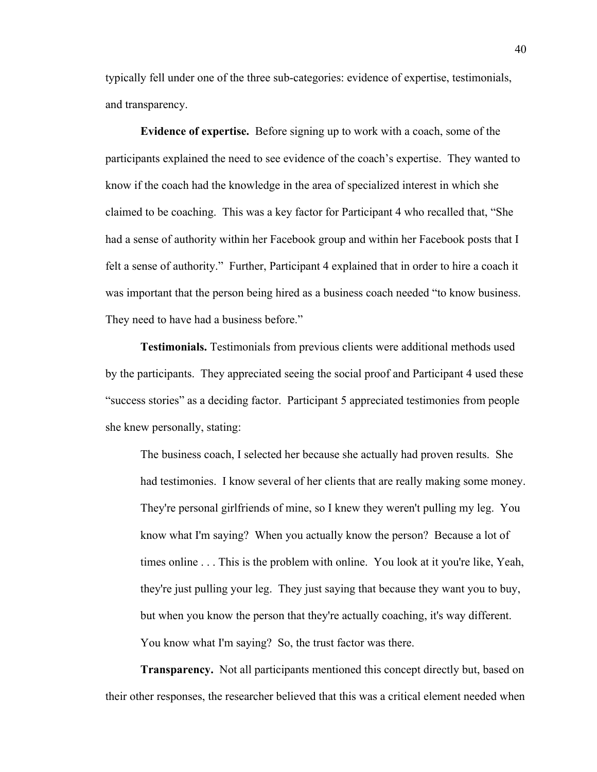typically fell under one of the three sub-categories: evidence of expertise, testimonials, and transparency.

**Evidence of expertise.** Before signing up to work with a coach, some of the participants explained the need to see evidence of the coach's expertise. They wanted to know if the coach had the knowledge in the area of specialized interest in which she claimed to be coaching. This was a key factor for Participant 4 who recalled that, "She had a sense of authority within her Facebook group and within her Facebook posts that I felt a sense of authority." Further, Participant 4 explained that in order to hire a coach it was important that the person being hired as a business coach needed "to know business. They need to have had a business before."

**Testimonials.** Testimonials from previous clients were additional methods used by the participants. They appreciated seeing the social proof and Participant 4 used these "success stories" as a deciding factor. Participant 5 appreciated testimonies from people she knew personally, stating:

The business coach, I selected her because she actually had proven results. She had testimonies. I know several of her clients that are really making some money. They're personal girlfriends of mine, so I knew they weren't pulling my leg. You know what I'm saying? When you actually know the person? Because a lot of times online . . . This is the problem with online. You look at it you're like, Yeah, they're just pulling your leg. They just saying that because they want you to buy, but when you know the person that they're actually coaching, it's way different. You know what I'm saying? So, the trust factor was there.

**Transparency.** Not all participants mentioned this concept directly but, based on their other responses, the researcher believed that this was a critical element needed when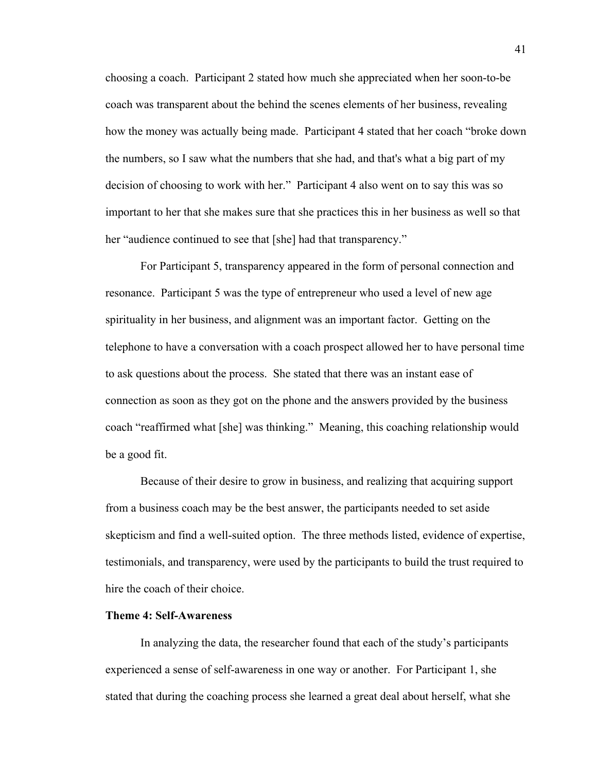choosing a coach. Participant 2 stated how much she appreciated when her soon-to-be coach was transparent about the behind the scenes elements of her business, revealing how the money was actually being made. Participant 4 stated that her coach "broke down the numbers, so I saw what the numbers that she had, and that's what a big part of my decision of choosing to work with her." Participant 4 also went on to say this was so important to her that she makes sure that she practices this in her business as well so that her "audience continued to see that [she] had that transparency."

For Participant 5, transparency appeared in the form of personal connection and resonance. Participant 5 was the type of entrepreneur who used a level of new age spirituality in her business, and alignment was an important factor. Getting on the telephone to have a conversation with a coach prospect allowed her to have personal time to ask questions about the process. She stated that there was an instant ease of connection as soon as they got on the phone and the answers provided by the business coach "reaffirmed what [she] was thinking." Meaning, this coaching relationship would be a good fit.

Because of their desire to grow in business, and realizing that acquiring support from a business coach may be the best answer, the participants needed to set aside skepticism and find a well-suited option. The three methods listed, evidence of expertise, testimonials, and transparency, were used by the participants to build the trust required to hire the coach of their choice.

#### **Theme 4: Self-Awareness**

In analyzing the data, the researcher found that each of the study's participants experienced a sense of self-awareness in one way or another. For Participant 1, she stated that during the coaching process she learned a great deal about herself, what she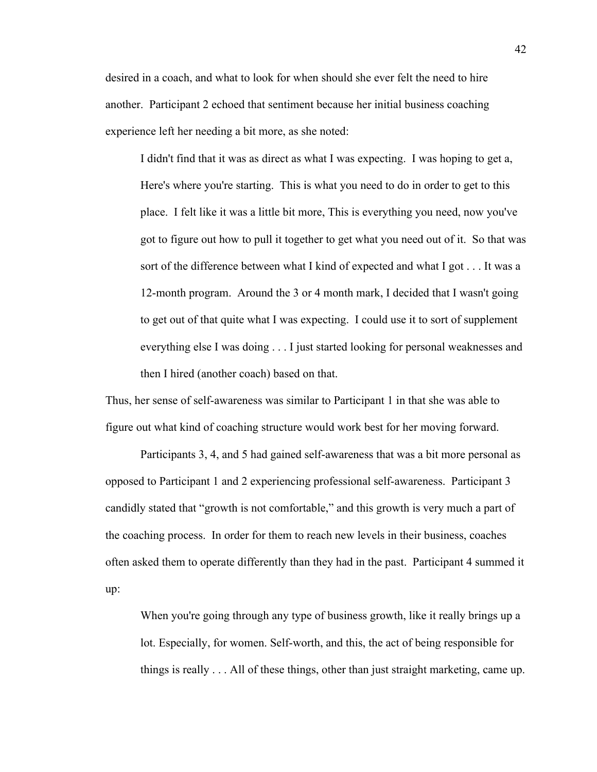desired in a coach, and what to look for when should she ever felt the need to hire another. Participant 2 echoed that sentiment because her initial business coaching experience left her needing a bit more, as she noted:

I didn't find that it was as direct as what I was expecting. I was hoping to get a, Here's where you're starting. This is what you need to do in order to get to this place. I felt like it was a little bit more, This is everything you need, now you've got to figure out how to pull it together to get what you need out of it. So that was sort of the difference between what I kind of expected and what I got . . . It was a 12-month program. Around the 3 or 4 month mark, I decided that I wasn't going to get out of that quite what I was expecting. I could use it to sort of supplement everything else I was doing . . . I just started looking for personal weaknesses and then I hired (another coach) based on that.

Thus, her sense of self-awareness was similar to Participant 1 in that she was able to figure out what kind of coaching structure would work best for her moving forward.

Participants 3, 4, and 5 had gained self-awareness that was a bit more personal as opposed to Participant 1 and 2 experiencing professional self-awareness. Participant 3 candidly stated that "growth is not comfortable," and this growth is very much a part of the coaching process. In order for them to reach new levels in their business, coaches often asked them to operate differently than they had in the past. Participant 4 summed it up:

When you're going through any type of business growth, like it really brings up a lot. Especially, for women. Self-worth, and this, the act of being responsible for things is really . . . All of these things, other than just straight marketing, came up.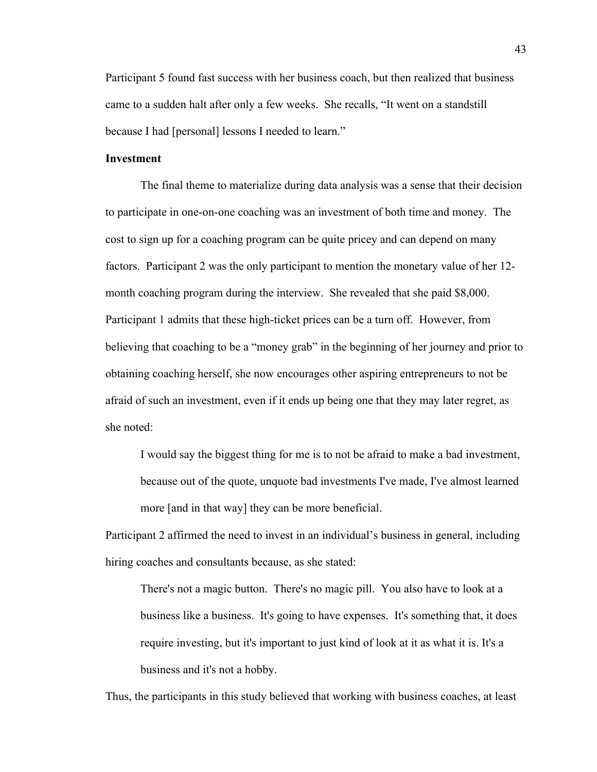Participant 5 found fast success with her business coach, but then realized that business came to a sudden halt after only a few weeks. She recalls, "It went on a standstill because I had [personal] lessons I needed to learn."

# **Investment**

The final theme to materialize during data analysis was a sense that their decision to participate in one-on-one coaching was an investment of both time and money. The cost to sign up for a coaching program can be quite pricey and can depend on many factors. Participant 2 was the only participant to mention the monetary value of her 12 month coaching program during the interview. She revealed that she paid \$8,000. Participant 1 admits that these high-ticket prices can be a turn off. However, from believing that coaching to be a "money grab" in the beginning of her journey and prior to obtaining coaching herself, she now encourages other aspiring entrepreneurs to not be afraid of such an investment, even if it ends up being one that they may later regret, as she noted:

I would say the biggest thing for me is to not be afraid to make a bad investment, because out of the quote, unquote bad investments I've made, I've almost learned more [and in that way] they can be more beneficial.

Participant 2 affirmed the need to invest in an individual's business in general, including hiring coaches and consultants because, as she stated:

There's not a magic button. There's no magic pill. You also have to look at a business like a business. It's going to have expenses. It's something that, it does require investing, but it's important to just kind of look at it as what it is. It's a business and it's not a hobby.

Thus, the participants in this study believed that working with business coaches, at least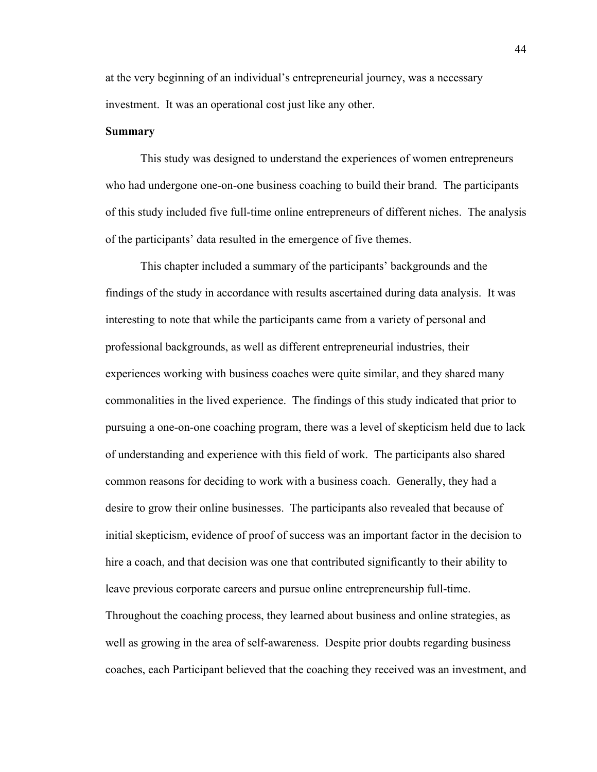at the very beginning of an individual's entrepreneurial journey, was a necessary investment. It was an operational cost just like any other.

#### **Summary**

This study was designed to understand the experiences of women entrepreneurs who had undergone one-on-one business coaching to build their brand. The participants of this study included five full-time online entrepreneurs of different niches. The analysis of the participants' data resulted in the emergence of five themes.

This chapter included a summary of the participants' backgrounds and the findings of the study in accordance with results ascertained during data analysis. It was interesting to note that while the participants came from a variety of personal and professional backgrounds, as well as different entrepreneurial industries, their experiences working with business coaches were quite similar, and they shared many commonalities in the lived experience. The findings of this study indicated that prior to pursuing a one-on-one coaching program, there was a level of skepticism held due to lack of understanding and experience with this field of work. The participants also shared common reasons for deciding to work with a business coach. Generally, they had a desire to grow their online businesses. The participants also revealed that because of initial skepticism, evidence of proof of success was an important factor in the decision to hire a coach, and that decision was one that contributed significantly to their ability to leave previous corporate careers and pursue online entrepreneurship full-time. Throughout the coaching process, they learned about business and online strategies, as well as growing in the area of self-awareness. Despite prior doubts regarding business coaches, each Participant believed that the coaching they received was an investment, and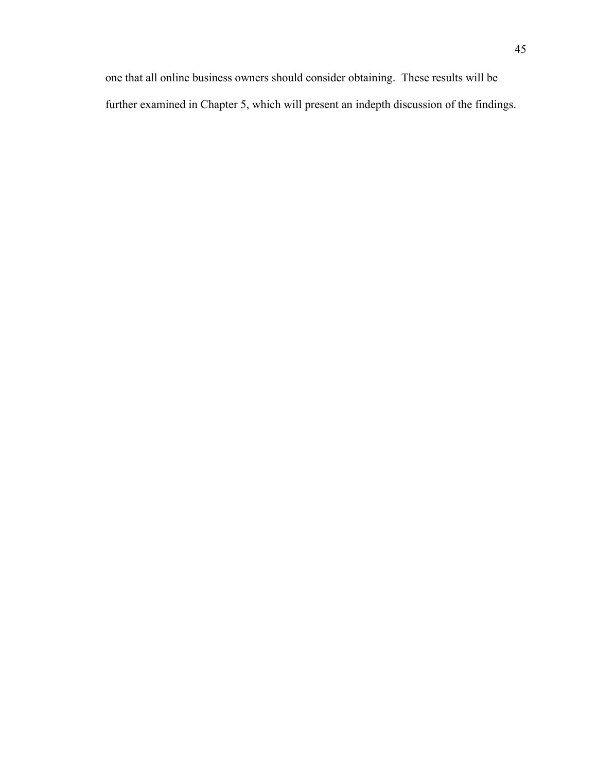one that all online business owners should consider obtaining. These results will be further examined in Chapter 5, which will present an indepth discussion of the findings.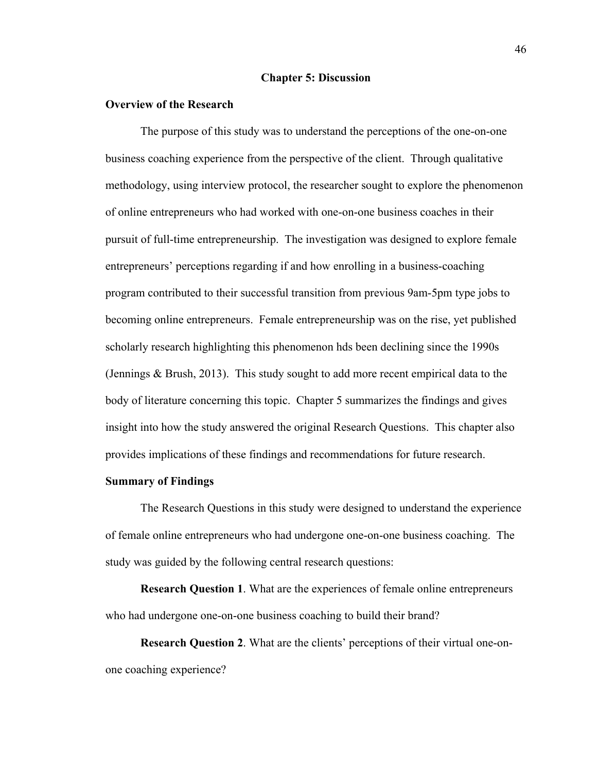#### **Chapter 5: Discussion**

# **Overview of the Research**

The purpose of this study was to understand the perceptions of the one-on-one business coaching experience from the perspective of the client. Through qualitative methodology, using interview protocol, the researcher sought to explore the phenomenon of online entrepreneurs who had worked with one-on-one business coaches in their pursuit of full-time entrepreneurship. The investigation was designed to explore female entrepreneurs' perceptions regarding if and how enrolling in a business-coaching program contributed to their successful transition from previous 9am-5pm type jobs to becoming online entrepreneurs. Female entrepreneurship was on the rise, yet published scholarly research highlighting this phenomenon hds been declining since the 1990s (Jennings & Brush, 2013). This study sought to add more recent empirical data to the body of literature concerning this topic. Chapter 5 summarizes the findings and gives insight into how the study answered the original Research Questions. This chapter also provides implications of these findings and recommendations for future research.

### **Summary of Findings**

The Research Questions in this study were designed to understand the experience of female online entrepreneurs who had undergone one-on-one business coaching. The study was guided by the following central research questions:

**Research Question 1**. What are the experiences of female online entrepreneurs who had undergone one-on-one business coaching to build their brand?

**Research Question 2**. What are the clients' perceptions of their virtual one-onone coaching experience?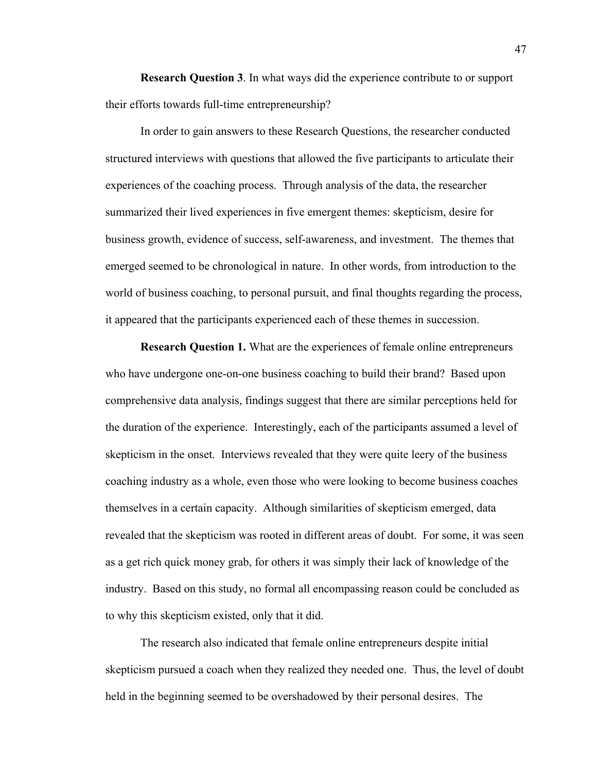**Research Question 3**. In what ways did the experience contribute to or support their efforts towards full-time entrepreneurship?

In order to gain answers to these Research Questions, the researcher conducted structured interviews with questions that allowed the five participants to articulate their experiences of the coaching process. Through analysis of the data, the researcher summarized their lived experiences in five emergent themes: skepticism, desire for business growth, evidence of success, self-awareness, and investment. The themes that emerged seemed to be chronological in nature. In other words, from introduction to the world of business coaching, to personal pursuit, and final thoughts regarding the process, it appeared that the participants experienced each of these themes in succession.

**Research Question 1.** What are the experiences of female online entrepreneurs who have undergone one-on-one business coaching to build their brand? Based upon comprehensive data analysis, findings suggest that there are similar perceptions held for the duration of the experience. Interestingly, each of the participants assumed a level of skepticism in the onset. Interviews revealed that they were quite leery of the business coaching industry as a whole, even those who were looking to become business coaches themselves in a certain capacity. Although similarities of skepticism emerged, data revealed that the skepticism was rooted in different areas of doubt. For some, it was seen as a get rich quick money grab, for others it was simply their lack of knowledge of the industry. Based on this study, no formal all encompassing reason could be concluded as to why this skepticism existed, only that it did.

The research also indicated that female online entrepreneurs despite initial skepticism pursued a coach when they realized they needed one. Thus, the level of doubt held in the beginning seemed to be overshadowed by their personal desires. The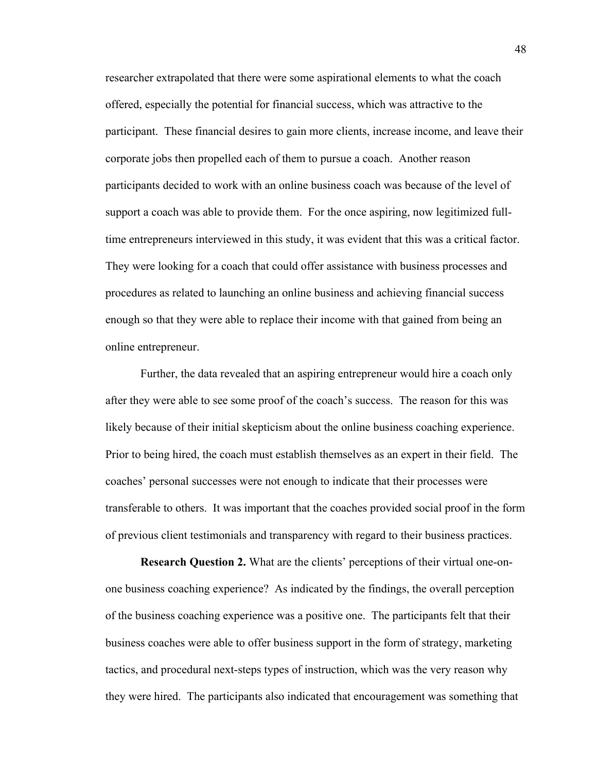researcher extrapolated that there were some aspirational elements to what the coach offered, especially the potential for financial success, which was attractive to the participant. These financial desires to gain more clients, increase income, and leave their corporate jobs then propelled each of them to pursue a coach. Another reason participants decided to work with an online business coach was because of the level of support a coach was able to provide them. For the once aspiring, now legitimized fulltime entrepreneurs interviewed in this study, it was evident that this was a critical factor. They were looking for a coach that could offer assistance with business processes and procedures as related to launching an online business and achieving financial success enough so that they were able to replace their income with that gained from being an online entrepreneur.

Further, the data revealed that an aspiring entrepreneur would hire a coach only after they were able to see some proof of the coach's success. The reason for this was likely because of their initial skepticism about the online business coaching experience. Prior to being hired, the coach must establish themselves as an expert in their field. The coaches' personal successes were not enough to indicate that their processes were transferable to others. It was important that the coaches provided social proof in the form of previous client testimonials and transparency with regard to their business practices.

**Research Question 2.** What are the clients' perceptions of their virtual one-onone business coaching experience? As indicated by the findings, the overall perception of the business coaching experience was a positive one. The participants felt that their business coaches were able to offer business support in the form of strategy, marketing tactics, and procedural next-steps types of instruction, which was the very reason why they were hired. The participants also indicated that encouragement was something that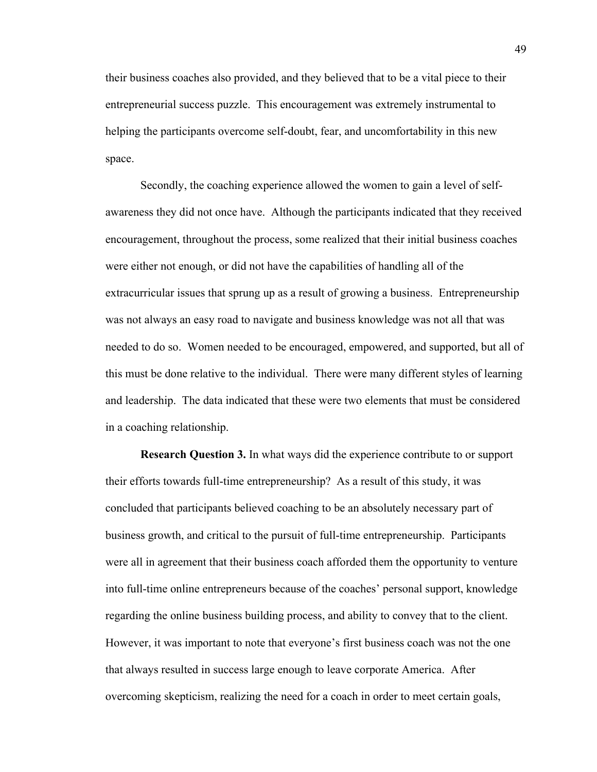their business coaches also provided, and they believed that to be a vital piece to their entrepreneurial success puzzle. This encouragement was extremely instrumental to helping the participants overcome self-doubt, fear, and uncomfortability in this new space.

Secondly, the coaching experience allowed the women to gain a level of selfawareness they did not once have. Although the participants indicated that they received encouragement, throughout the process, some realized that their initial business coaches were either not enough, or did not have the capabilities of handling all of the extracurricular issues that sprung up as a result of growing a business. Entrepreneurship was not always an easy road to navigate and business knowledge was not all that was needed to do so. Women needed to be encouraged, empowered, and supported, but all of this must be done relative to the individual. There were many different styles of learning and leadership. The data indicated that these were two elements that must be considered in a coaching relationship.

**Research Question 3.** In what ways did the experience contribute to or support their efforts towards full-time entrepreneurship? As a result of this study, it was concluded that participants believed coaching to be an absolutely necessary part of business growth, and critical to the pursuit of full-time entrepreneurship. Participants were all in agreement that their business coach afforded them the opportunity to venture into full-time online entrepreneurs because of the coaches' personal support, knowledge regarding the online business building process, and ability to convey that to the client. However, it was important to note that everyone's first business coach was not the one that always resulted in success large enough to leave corporate America. After overcoming skepticism, realizing the need for a coach in order to meet certain goals,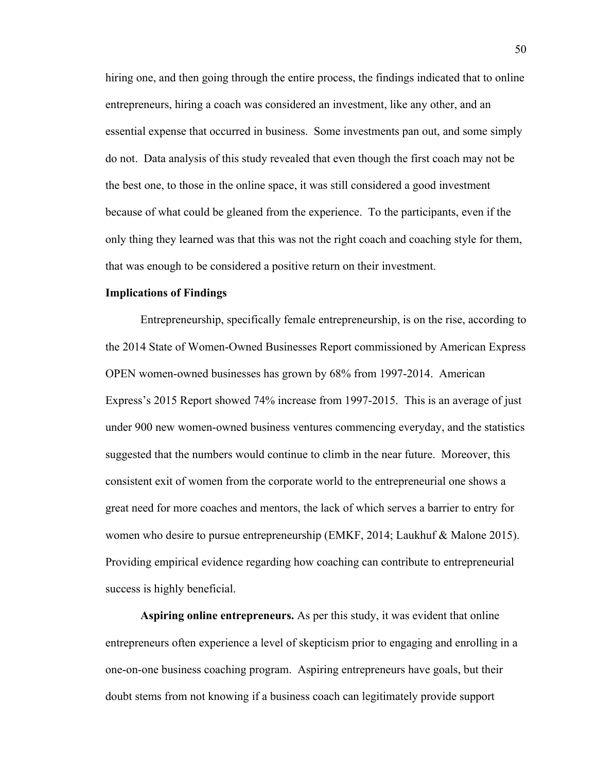hiring one, and then going through the entire process, the findings indicated that to online entrepreneurs, hiring a coach was considered an investment, like any other, and an essential expense that occurred in business. Some investments pan out, and some simply do not. Data analysis of this study revealed that even though the first coach may not be the best one, to those in the online space, it was still considered a good investment because of what could be gleaned from the experience. To the participants, even if the only thing they learned was that this was not the right coach and coaching style for them, that was enough to be considered a positive return on their investment.

# **Implications of Findings**

Entrepreneurship, specifically female entrepreneurship, is on the rise, according to the 2014 State of Women-Owned Businesses Report commissioned by American Express OPEN women-owned businesses has grown by 68% from 1997-2014. American Express's 2015 Report showed 74% increase from 1997-2015. This is an average of just under 900 new women-owned business ventures commencing everyday, and the statistics suggested that the numbers would continue to climb in the near future. Moreover, this consistent exit of women from the corporate world to the entrepreneurial one shows a great need for more coaches and mentors, the lack of which serves a barrier to entry for women who desire to pursue entrepreneurship (EMKF, 2014; Laukhuf & Malone 2015). Providing empirical evidence regarding how coaching can contribute to entrepreneurial success is highly beneficial.

**Aspiring online entrepreneurs.** As per this study, it was evident that online entrepreneurs often experience a level of skepticism prior to engaging and enrolling in a one-on-one business coaching program. Aspiring entrepreneurs have goals, but their doubt stems from not knowing if a business coach can legitimately provide support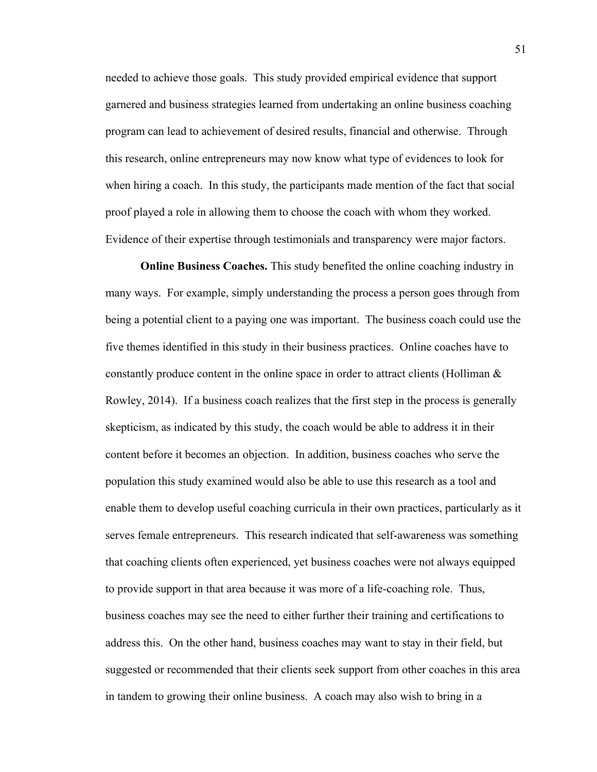needed to achieve those goals. This study provided empirical evidence that support garnered and business strategies learned from undertaking an online business coaching program can lead to achievement of desired results, financial and otherwise. Through this research, online entrepreneurs may now know what type of evidences to look for when hiring a coach. In this study, the participants made mention of the fact that social proof played a role in allowing them to choose the coach with whom they worked. Evidence of their expertise through testimonials and transparency were major factors.

**Online Business Coaches.** This study benefited the online coaching industry in many ways. For example, simply understanding the process a person goes through from being a potential client to a paying one was important. The business coach could use the five themes identified in this study in their business practices. Online coaches have to constantly produce content in the online space in order to attract clients (Holliman  $\&$ Rowley, 2014). If a business coach realizes that the first step in the process is generally skepticism, as indicated by this study, the coach would be able to address it in their content before it becomes an objection. In addition, business coaches who serve the population this study examined would also be able to use this research as a tool and enable them to develop useful coaching curricula in their own practices, particularly as it serves female entrepreneurs. This research indicated that self-awareness was something that coaching clients often experienced, yet business coaches were not always equipped to provide support in that area because it was more of a life-coaching role. Thus, business coaches may see the need to either further their training and certifications to address this. On the other hand, business coaches may want to stay in their field, but suggested or recommended that their clients seek support from other coaches in this area in tandem to growing their online business. A coach may also wish to bring in a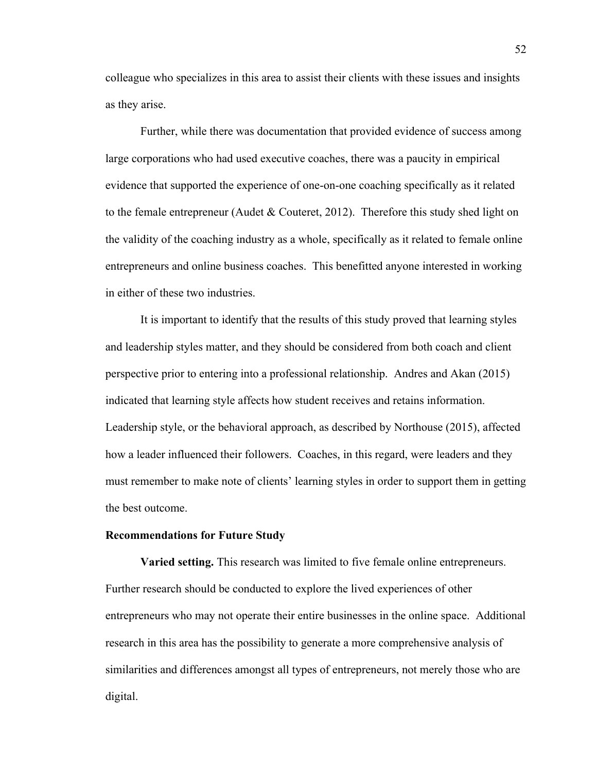colleague who specializes in this area to assist their clients with these issues and insights as they arise.

Further, while there was documentation that provided evidence of success among large corporations who had used executive coaches, there was a paucity in empirical evidence that supported the experience of one-on-one coaching specifically as it related to the female entrepreneur (Audet & Couteret, 2012). Therefore this study shed light on the validity of the coaching industry as a whole, specifically as it related to female online entrepreneurs and online business coaches. This benefitted anyone interested in working in either of these two industries.

It is important to identify that the results of this study proved that learning styles and leadership styles matter, and they should be considered from both coach and client perspective prior to entering into a professional relationship. Andres and Akan (2015) indicated that learning style affects how student receives and retains information. Leadership style, or the behavioral approach, as described by Northouse (2015), affected how a leader influenced their followers. Coaches, in this regard, were leaders and they must remember to make note of clients' learning styles in order to support them in getting the best outcome.

#### **Recommendations for Future Study**

**Varied setting.** This research was limited to five female online entrepreneurs. Further research should be conducted to explore the lived experiences of other entrepreneurs who may not operate their entire businesses in the online space. Additional research in this area has the possibility to generate a more comprehensive analysis of similarities and differences amongst all types of entrepreneurs, not merely those who are digital.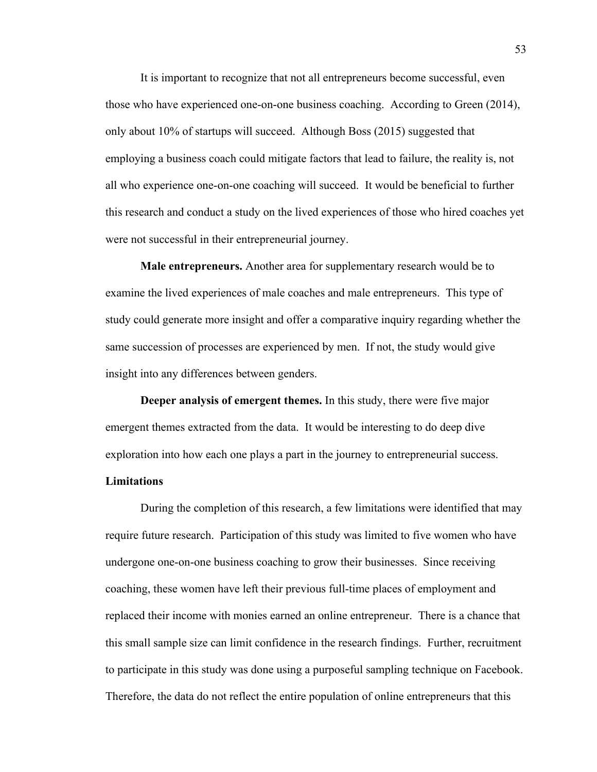It is important to recognize that not all entrepreneurs become successful, even those who have experienced one-on-one business coaching. According to Green (2014), only about 10% of startups will succeed. Although Boss (2015) suggested that employing a business coach could mitigate factors that lead to failure, the reality is, not all who experience one-on-one coaching will succeed. It would be beneficial to further this research and conduct a study on the lived experiences of those who hired coaches yet were not successful in their entrepreneurial journey.

**Male entrepreneurs.** Another area for supplementary research would be to examine the lived experiences of male coaches and male entrepreneurs. This type of study could generate more insight and offer a comparative inquiry regarding whether the same succession of processes are experienced by men. If not, the study would give insight into any differences between genders.

**Deeper analysis of emergent themes.** In this study, there were five major emergent themes extracted from the data. It would be interesting to do deep dive exploration into how each one plays a part in the journey to entrepreneurial success.

# **Limitations**

During the completion of this research, a few limitations were identified that may require future research. Participation of this study was limited to five women who have undergone one-on-one business coaching to grow their businesses. Since receiving coaching, these women have left their previous full-time places of employment and replaced their income with monies earned an online entrepreneur. There is a chance that this small sample size can limit confidence in the research findings. Further, recruitment to participate in this study was done using a purposeful sampling technique on Facebook. Therefore, the data do not reflect the entire population of online entrepreneurs that this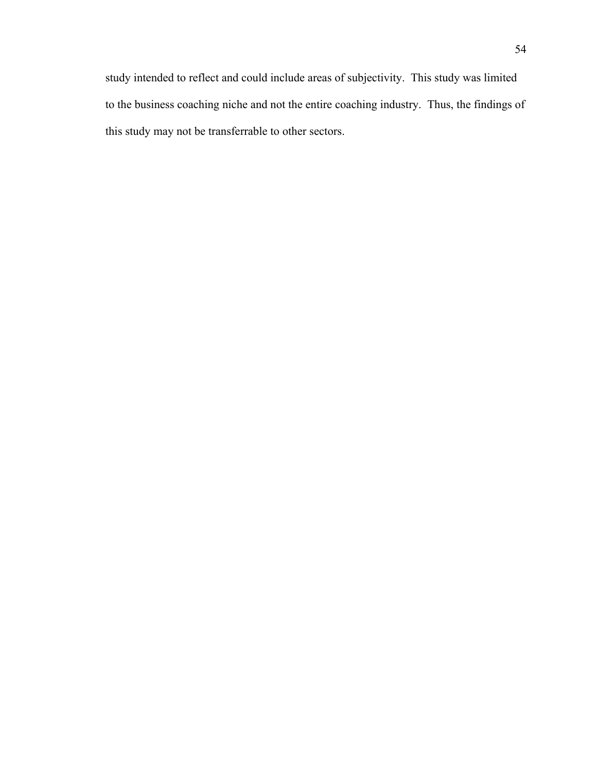study intended to reflect and could include areas of subjectivity. This study was limited to the business coaching niche and not the entire coaching industry. Thus, the findings of this study may not be transferrable to other sectors.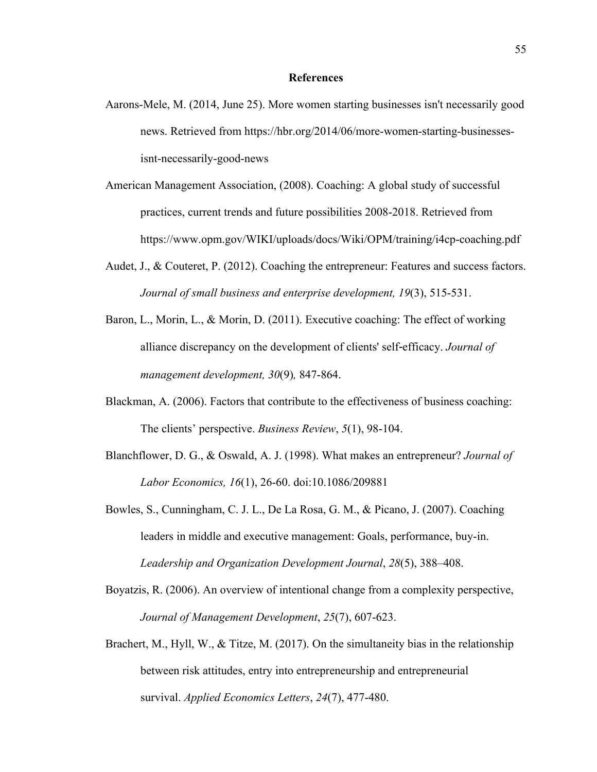- Aarons-Mele, M. (2014, June 25). More women starting businesses isn't necessarily good news. Retrieved from https://hbr.org/2014/06/more-women-starting-businessesisnt-necessarily-good-news
- American Management Association, (2008). Coaching: A global study of successful practices, current trends and future possibilities 2008-2018. Retrieved from https://www.opm.gov/WIKI/uploads/docs/Wiki/OPM/training/i4cp-coaching.pdf
- Audet, J., & Couteret, P. (2012). Coaching the entrepreneur: Features and success factors. *Journal of small business and enterprise development, 19*(3), 515-531.
- Baron, L., Morin, L., & Morin, D. (2011). Executive coaching: The effect of working alliance discrepancy on the development of clients' self*-*efficacy. *Journal of management development, 30*(9)*,* 847-864.
- Blackman, A. (2006). Factors that contribute to the effectiveness of business coaching: The clients' perspective. *Business Review*, *5*(1), 98-104.
- Blanchflower, D. G., & Oswald, A. J. (1998). What makes an entrepreneur? *Journal of Labor Economics, 16*(1), 26-60. doi:10.1086/209881
- Bowles, S., Cunningham, C. J. L., De La Rosa, G. M., & Picano, J. (2007). Coaching leaders in middle and executive management: Goals, performance, buy-in. *Leadership and Organization Development Journal*, *28*(5), 388–408.
- Boyatzis, R. (2006). An overview of intentional change from a complexity perspective, *Journal of Management Development*, *25*(7), 607-623.
- Brachert, M., Hyll, W., & Titze, M. (2017). On the simultaneity bias in the relationship between risk attitudes, entry into entrepreneurship and entrepreneurial survival. *Applied Economics Letters*, *24*(7), 477-480.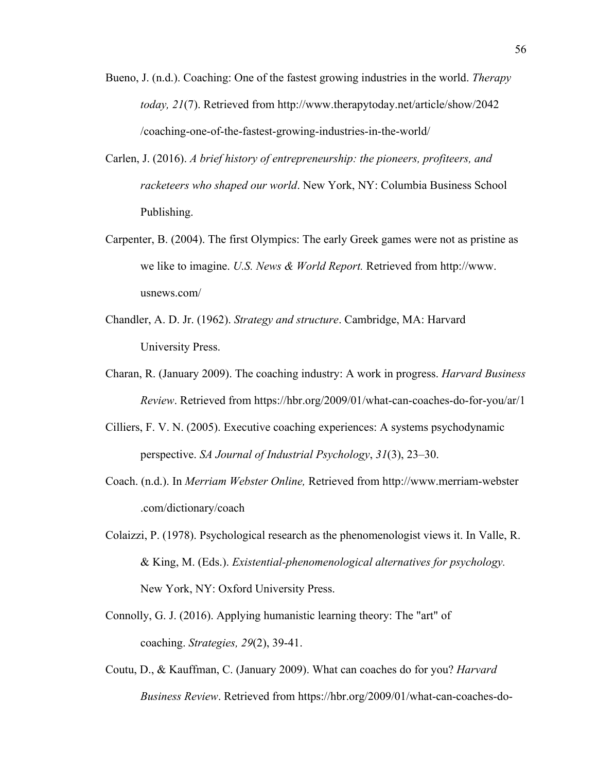- Bueno, J. (n.d.). Coaching: One of the fastest growing industries in the world. *Therapy today, 21*(7). Retrieved from http://www.therapytoday.net/article/show/2042 /coaching-one-of-the-fastest-growing-industries-in-the-world/
- Carlen, J. (2016). *A brief history of entrepreneurship: the pioneers, profiteers, and racketeers who shaped our world*. New York, NY: Columbia Business School Publishing.
- Carpenter, B. (2004). The first Olympics: The early Greek games were not as pristine as we like to imagine. *U.S. News & World Report.* Retrieved from http://www. usnews.com/
- Chandler, A. D. Jr. (1962). *Strategy and structure*. Cambridge, MA: Harvard University Press.
- Charan, R. (January 2009). The coaching industry: A work in progress. *Harvard Business Review*. Retrieved from https://hbr.org/2009/01/what-can-coaches-do-for-you/ar/1
- Cilliers, F. V. N. (2005). Executive coaching experiences: A systems psychodynamic perspective. *SA Journal of Industrial Psychology*, *31*(3), 23–30.
- Coach. (n.d.). In *Merriam Webster Online,* Retrieved from http://www.merriam-webster .com/dictionary/coach
- Colaizzi, P. (1978). Psychological research as the phenomenologist views it. In Valle, R. & King, M. (Eds.). *Existential-phenomenological alternatives for psychology.* New York, NY: Oxford University Press.
- Connolly, G. J. (2016). Applying humanistic learning theory: The "art" of coaching. *Strategies, 29*(2), 39-41.
- Coutu, D., & Kauffman, C. (January 2009). What can coaches do for you? *Harvard Business Review*. Retrieved from https://hbr.org/2009/01/what-can-coaches-do-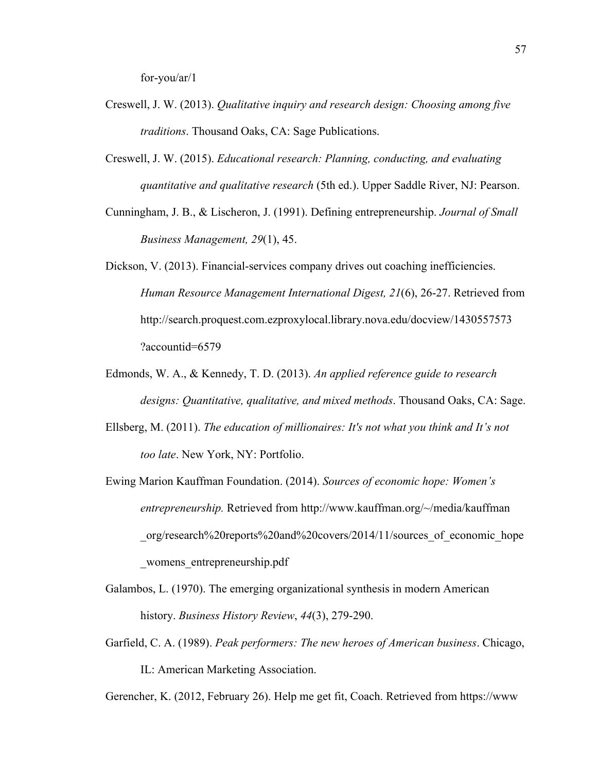for-you/ar/1

- Creswell, J. W. (2013). *Qualitative inquiry and research design: Choosing among five traditions*. Thousand Oaks, CA: Sage Publications.
- Creswell, J. W. (2015). *Educational research: Planning, conducting, and evaluating quantitative and qualitative research* (5th ed.). Upper Saddle River, NJ: Pearson.
- Cunningham, J. B., & Lischeron, J. (1991). Defining entrepreneurship. *Journal of Small Business Management, 29*(1), 45.
- Dickson, V. (2013). Financial-services company drives out coaching inefficiencies. *Human Resource Management International Digest, 21*(6), 26-27. Retrieved from http://search.proquest.com.ezproxylocal.library.nova.edu/docview/1430557573 ?accountid=6579
- Edmonds, W. A., & Kennedy, T. D. (2013). *An applied reference guide to research designs: Quantitative, qualitative, and mixed methods*. Thousand Oaks, CA: Sage.
- Ellsberg, M. (2011). *The education of millionaires: It's not what you think and It's not too late*. New York, NY: Portfolio.
- Ewing Marion Kauffman Foundation. (2014). *Sources of economic hope: Women's entrepreneurship.* Retrieved from http://www.kauffman.org/~/media/kauffman \_org/research%20reports%20and%20covers/2014/11/sources\_of\_economic\_hope \_womens\_entrepreneurship.pdf
- Galambos, L. (1970). The emerging organizational synthesis in modern American history. *Business History Review*, *44*(3), 279-290.
- Garfield, C. A. (1989). *Peak performers: The new heroes of American business*. Chicago, IL: American Marketing Association.

Gerencher, K. (2012, February 26). Help me get fit, Coach. Retrieved from https://www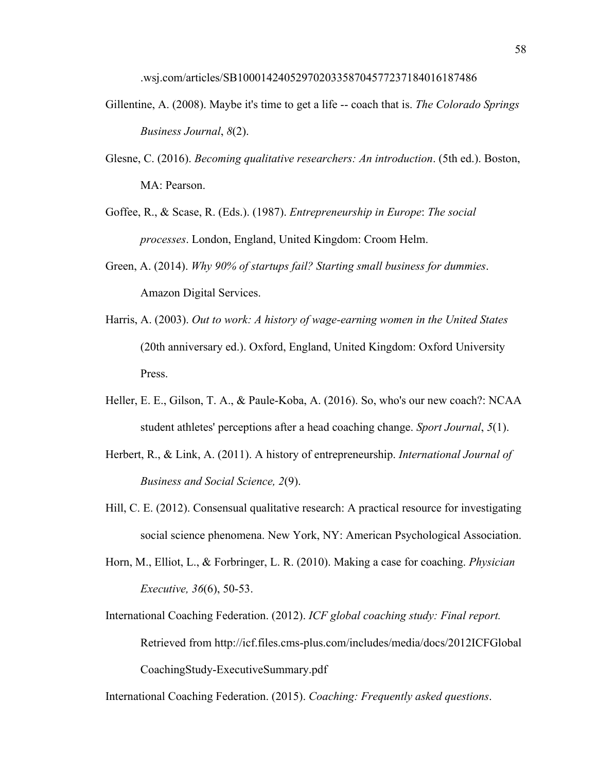.wsj.com/articles/SB10001424052970203358704577237184016187486

- Gillentine, A. (2008). Maybe it's time to get a life -- coach that is. *The Colorado Springs Business Journal*, *8*(2).
- Glesne, C. (2016). *Becoming qualitative researchers: An introduction*. (5th ed.). Boston, MA: Pearson.
- Goffee, R., & Scase, R. (Eds.). (1987). *Entrepreneurship in Europe*: *The social processes*. London, England, United Kingdom: Croom Helm.
- Green, A. (2014). *Why 90% of startups fail? Starting small business for dummies*. Amazon Digital Services.
- Harris, A. (2003). *Out to work: A history of wage-earning women in the United States* (20th anniversary ed.). Oxford, England, United Kingdom: Oxford University Press.
- Heller, E. E., Gilson, T. A., & Paule-Koba, A. (2016). So, who's our new coach?: NCAA student athletes' perceptions after a head coaching change. *Sport Journal*, *5*(1).
- Herbert, R., & Link, A. (2011). A history of entrepreneurship. *International Journal of Business and Social Science, 2*(9).
- Hill, C. E. (2012). Consensual qualitative research: A practical resource for investigating social science phenomena. New York, NY: American Psychological Association.
- Horn, M., Elliot, L., & Forbringer, L. R. (2010). Making a case for coaching. *Physician Executive, 36*(6), 50-53.
- International Coaching Federation. (2012). *ICF global coaching study: Final report.*  Retrieved from http://icf.files.cms-plus.com/includes/media/docs/2012ICFGlobal CoachingStudy-ExecutiveSummary.pdf

International Coaching Federation. (2015). *Coaching: Frequently asked questions*.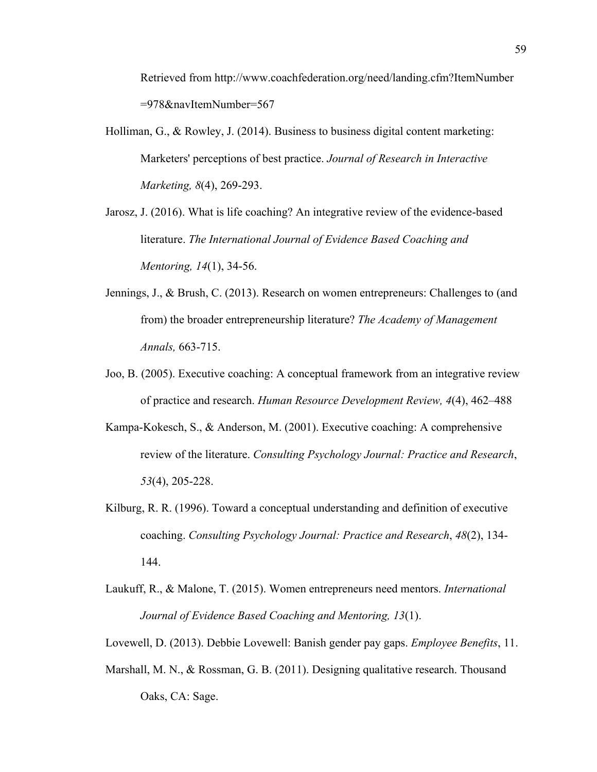Retrieved from http://www.coachfederation.org/need/landing.cfm?ItemNumber =978&navItemNumber=567

- Holliman, G., & Rowley, J. (2014). Business to business digital content marketing: Marketers' perceptions of best practice. *Journal of Research in Interactive Marketing, 8*(4), 269-293.
- Jarosz, J. (2016). What is life coaching? An integrative review of the evidence-based literature. *The International Journal of Evidence Based Coaching and Mentoring, 14*(1), 34-56.
- Jennings, J., & Brush, C. (2013). Research on women entrepreneurs: Challenges to (and from) the broader entrepreneurship literature? *The Academy of Management Annals,* 663-715.
- Joo, B. (2005). Executive coaching: A conceptual framework from an integrative review of practice and research. *Human Resource Development Review, 4*(4), 462–488
- Kampa-Kokesch, S., & Anderson, M. (2001). Executive coaching: A comprehensive review of the literature. *Consulting Psychology Journal: Practice and Research*, *53*(4), 205-228.
- Kilburg, R. R. (1996). Toward a conceptual understanding and definition of executive coaching. *Consulting Psychology Journal: Practice and Research*, *48*(2), 134- 144.
- Laukuff, R., & Malone, T. (2015). Women entrepreneurs need mentors. *International Journal of Evidence Based Coaching and Mentoring, 13*(1).
- Lovewell, D. (2013). Debbie Lovewell: Banish gender pay gaps. *Employee Benefits*, 11.
- Marshall, M. N., & Rossman, G. B. (2011). Designing qualitative research. Thousand Oaks, CA: Sage.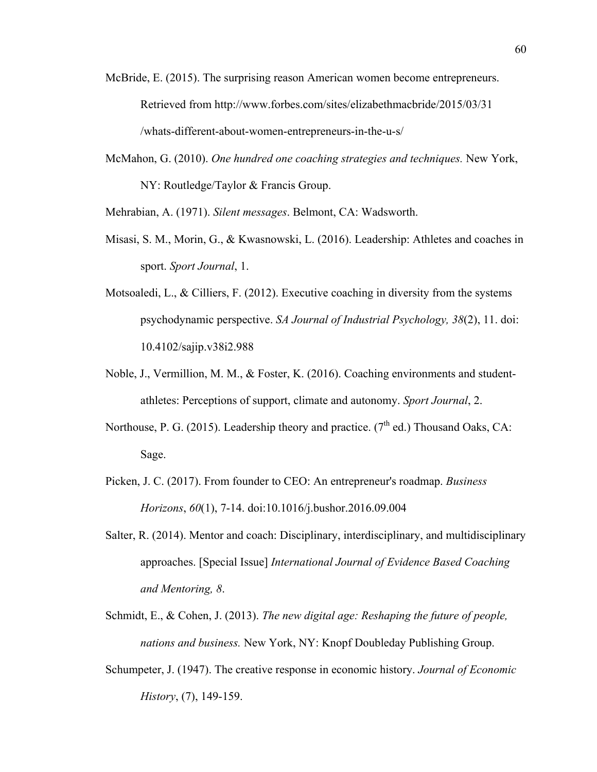- McBride, E. (2015). The surprising reason American women become entrepreneurs. Retrieved from http://www.forbes.com/sites/elizabethmacbride/2015/03/31 /whats-different-about-women-entrepreneurs-in-the-u-s/
- McMahon, G. (2010). *One hundred one coaching strategies and techniques.* New York, NY: Routledge/Taylor & Francis Group.

Mehrabian, A. (1971). *Silent messages*. Belmont, CA: Wadsworth.

- Misasi, S. M., Morin, G., & Kwasnowski, L. (2016). Leadership: Athletes and coaches in sport. *Sport Journal*, 1.
- Motsoaledi, L., & Cilliers, F.  $(2012)$ . Executive coaching in diversity from the systems psychodynamic perspective. *SA Journal of Industrial Psychology, 38*(2), 11. doi: 10.4102/sajip.v38i2.988
- Noble, J., Vermillion, M. M., & Foster, K. (2016). Coaching environments and studentathletes: Perceptions of support, climate and autonomy. *Sport Journal*, 2.
- Northouse, P. G. (2015). Leadership theory and practice. ( $7<sup>th</sup>$  ed.) Thousand Oaks, CA: Sage.
- Picken, J. C. (2017). From founder to CEO: An entrepreneur's roadmap. *Business Horizons*, *60*(1), 7-14. doi:10.1016/j.bushor.2016.09.004
- Salter, R. (2014). Mentor and coach: Disciplinary, interdisciplinary, and multidisciplinary approaches. [Special Issue] *International Journal of Evidence Based Coaching and Mentoring, 8*.
- Schmidt, E., & Cohen, J. (2013). *The new digital age: Reshaping the future of people, nations and business.* New York, NY: Knopf Doubleday Publishing Group.
- Schumpeter, J. (1947). The creative response in economic history. *Journal of Economic History*, (7), 149-159.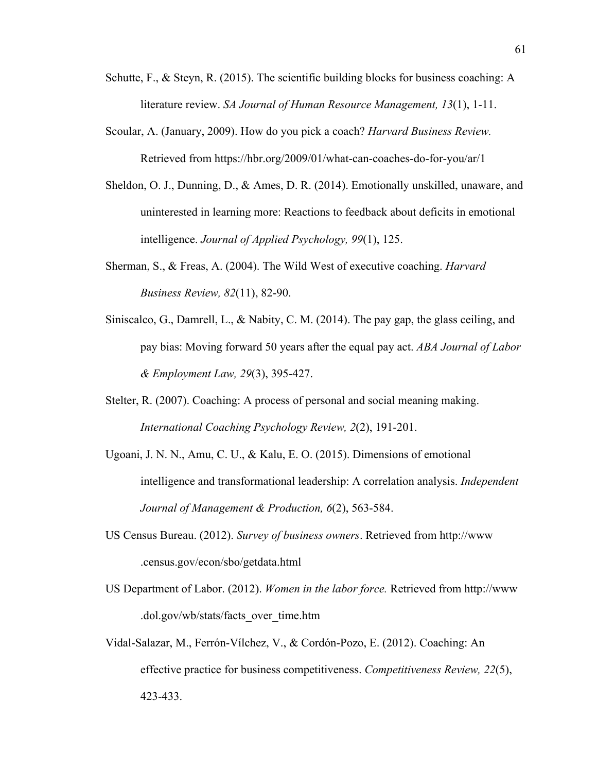- Schutte, F., & Steyn, R. (2015). The scientific building blocks for business coaching: A literature review. *SA Journal of Human Resource Management, 13*(1), 1-11.
- Scoular, A. (January, 2009). How do you pick a coach? *Harvard Business Review.*  Retrieved from https://hbr.org/2009/01/what-can-coaches-do-for-you/ar/1
- Sheldon, O. J., Dunning, D., & Ames, D. R. (2014). Emotionally unskilled, unaware, and uninterested in learning more: Reactions to feedback about deficits in emotional intelligence. *Journal of Applied Psychology, 99*(1), 125.
- Sherman, S., & Freas, A. (2004). The Wild West of executive coaching. *Harvard Business Review, 82*(11), 82-90.
- Siniscalco, G., Damrell, L., & Nabity, C. M. (2014). The pay gap, the glass ceiling, and pay bias: Moving forward 50 years after the equal pay act. *ABA Journal of Labor & Employment Law, 29*(3), 395-427.
- Stelter, R. (2007). Coaching: A process of personal and social meaning making. *International Coaching Psychology Review, 2*(2), 191-201.
- Ugoani, J. N. N., Amu, C. U., & Kalu, E. O. (2015). Dimensions of emotional intelligence and transformational leadership: A correlation analysis. *Independent Journal of Management & Production, 6*(2), 563-584.
- US Census Bureau. (2012). *Survey of business owners*. Retrieved from http://www .census.gov/econ/sbo/getdata.html
- US Department of Labor. (2012). *Women in the labor force.* Retrieved from http://www .dol.gov/wb/stats/facts\_over\_time.htm
- Vidal-Salazar, M., Ferrón-Vílchez, V., & Cordón-Pozo, E. (2012). Coaching: An effective practice for business competitiveness. *Competitiveness Review, 22*(5), 423-433.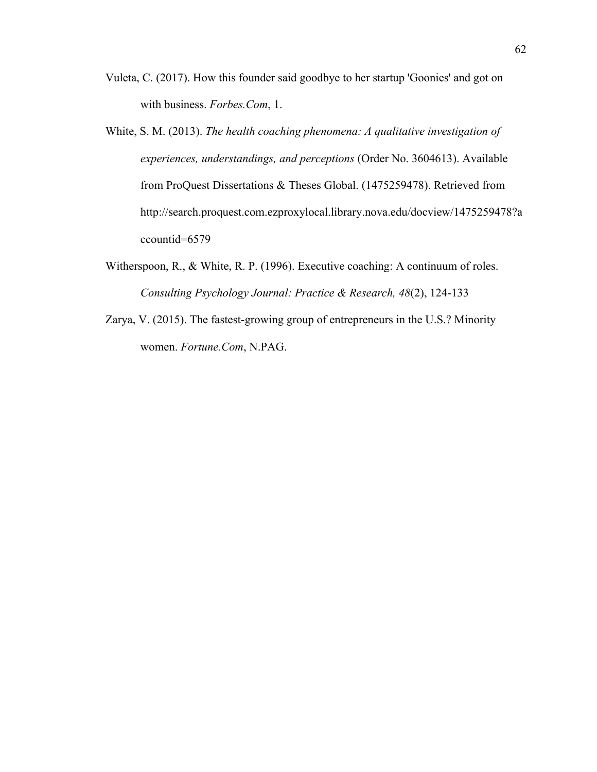- Vuleta, C. (2017). How this founder said goodbye to her startup 'Goonies' and got on with business. *Forbes.Com*, 1.
- White, S. M. (2013). *The health coaching phenomena: A qualitative investigation of experiences, understandings, and perceptions* (Order No. 3604613). Available from ProQuest Dissertations & Theses Global. (1475259478). Retrieved from http://search.proquest.com.ezproxylocal.library.nova.edu/docview/1475259478?a ccountid=6579
- Witherspoon, R., & White, R. P. (1996). Executive coaching: A continuum of roles. *Consulting Psychology Journal: Practice & Research, 48*(2), 124-133
- Zarya, V. (2015). The fastest-growing group of entrepreneurs in the U.S.? Minority women. *Fortune.Com*, N.PAG.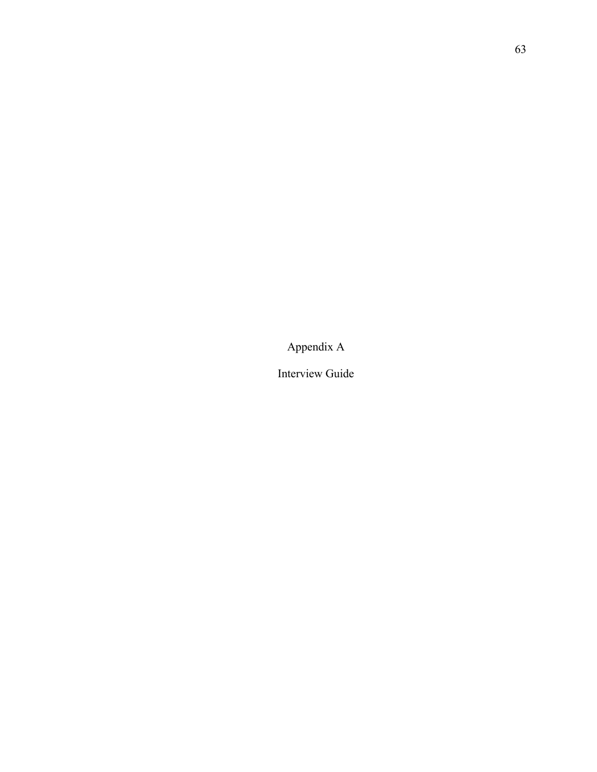Appendix A

Interview Guide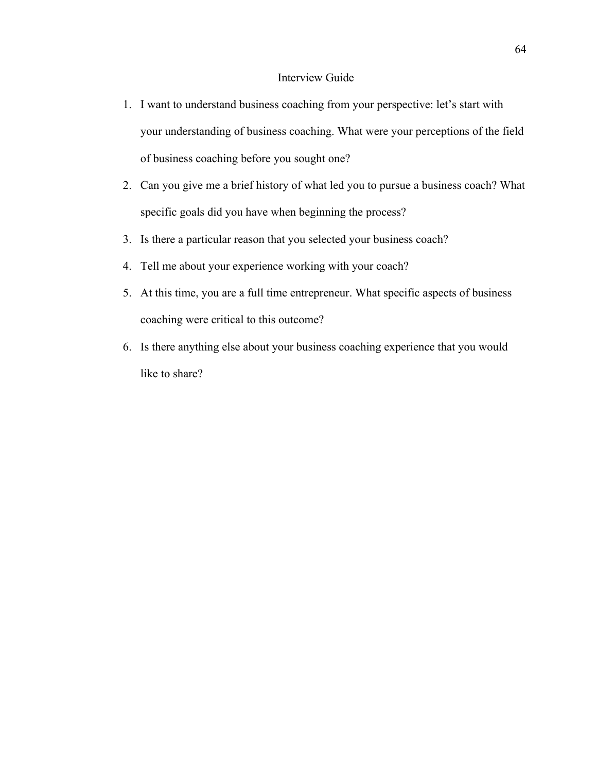# Interview Guide

- 1. I want to understand business coaching from your perspective: let's start with your understanding of business coaching. What were your perceptions of the field of business coaching before you sought one?
- 2. Can you give me a brief history of what led you to pursue a business coach? What specific goals did you have when beginning the process?
- 3. Is there a particular reason that you selected your business coach?
- 4. Tell me about your experience working with your coach?
- 5. At this time, you are a full time entrepreneur. What specific aspects of business coaching were critical to this outcome?
- 6. Is there anything else about your business coaching experience that you would like to share?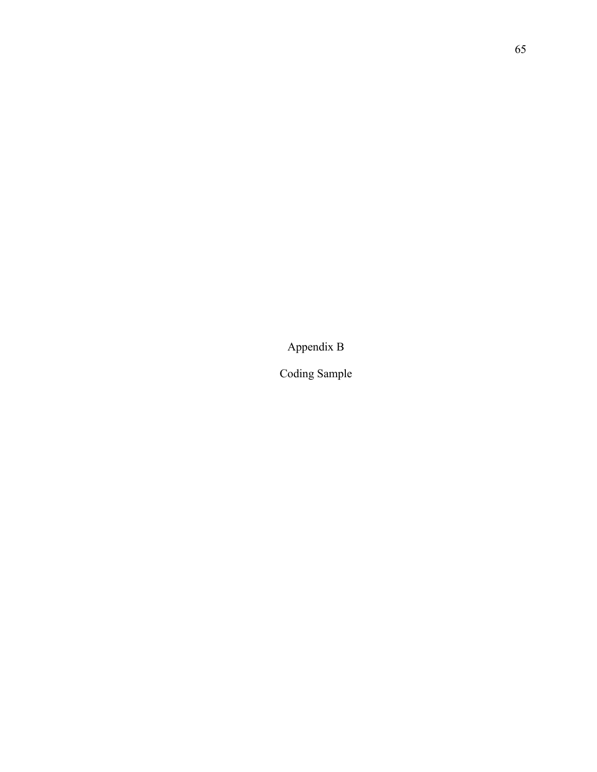Appendix B

Coding Sample